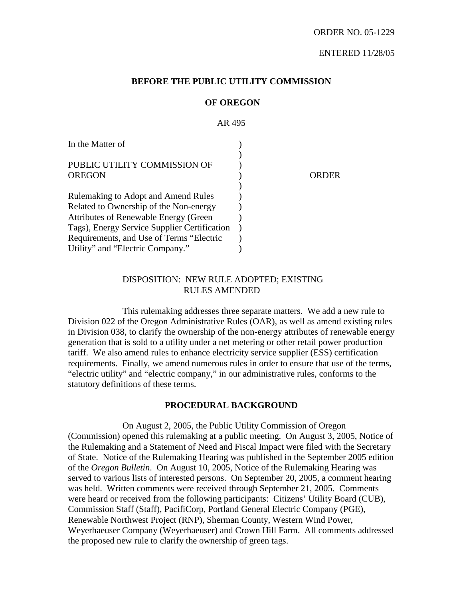## **BEFORE THE PUBLIC UTILITY COMMISSION**

#### **OF OREGON**

AR 495 In the Matter of PUBLIC UTILITY COMMISSION OF **OREGON** Rulemaking to Adopt and Amend Rules Related to Ownership of the Non-energy Attributes of Renewable Energy (Green Tags), Energy Service Supplier Certification Requirements, and Use of Terms "Electric Utility" and "Electric Company." ) ) ) ) ) ) ) )  $\lambda$  $\lambda$ ) ORDER

## DISPOSITION: NEW RULE ADOPTED; EXISTING RULES AMENDED

This rulemaking addresses three separate matters. We add a new rule to Division 022 of the Oregon Administrative Rules (OAR), as well as amend existing rules in Division 038, to clarify the ownership of the non-energy attributes of renewable energy generation that is sold to a utility under a net metering or other retail power production tariff. We also amend rules to enhance electricity service supplier (ESS) certification requirements. Finally, we amend numerous rules in order to ensure that use of the terms, "electric utility" and "electric company," in our administrative rules, conforms to the statutory definitions of these terms.

## **PROCEDURAL BACKGROUND**

On August 2, 2005, the Public Utility Commission of Oregon (Commission) opened this rulemaking at a public meeting. On August 3, 2005, Notice of the Rulemaking and a Statement of Need and Fiscal Impact were filed with the Secretary of State. Notice of the Rulemaking Hearing was published in the September 2005 edition of the *Oregon Bulletin*. On August 10, 2005, Notice of the Rulemaking Hearing was served to various lists of interested persons. On September 20, 2005, a comment hearing was held. Written comments were received through September 21, 2005. Comments were heard or received from the following participants: Citizens' Utility Board (CUB), Commission Staff (Staff), PacifiCorp, Portland General Electric Company (PGE), Renewable Northwest Project (RNP), Sherman County, Western Wind Power, Weyerhaeuser Company (Weyerhaeuser) and Crown Hill Farm. All comments addressed the proposed new rule to clarify the ownership of green tags.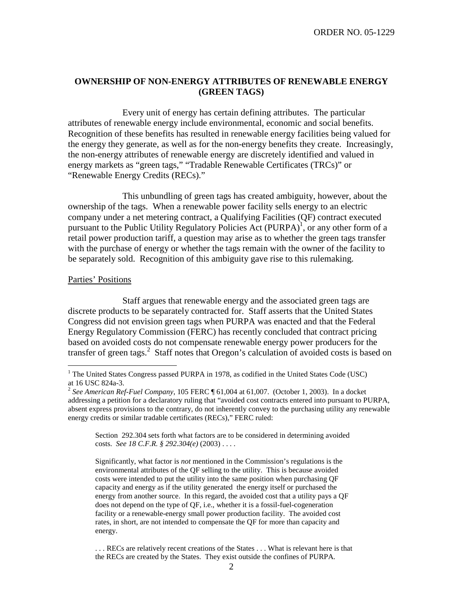## **OWNERSHIP OF NON-ENERGY ATTRIBUTES OF RENEWABLE ENERGY (GREEN TAGS)**

Every unit of energy has certain defining attributes. The particular attributes of renewable energy include environmental, economic and social benefits. Recognition of these benefits has resulted in renewable energy facilities being valued for the energy they generate, as well as for the non-energy benefits they create. Increasingly, the non-energy attributes of renewable energy are discretely identified and valued in energy markets as "green tags," "Tradable Renewable Certificates (TRCs)" or "Renewable Energy Credits (RECs)."

This unbundling of green tags has created ambiguity, however, about the ownership of the tags. When a renewable power facility sells energy to an electric company under a net metering contract, a Qualifying Facilities (QF) contract executed pursuant to the Public Utility Regulatory Policies Act (PURPA)<sup>1</sup>, or any other form of a retail power production tariff, a question may arise as to whether the green tags transfer with the purchase of energy or whether the tags remain with the owner of the facility to be separately sold. Recognition of this ambiguity gave rise to this rulemaking.

#### Parties' Positions

Staff argues that renewable energy and the associated green tags are discrete products to be separately contracted for. Staff asserts that the United States Congress did not envision green tags when PURPA was enacted and that the Federal Energy Regulatory Commission (FERC) has recently concluded that contract pricing based on avoided costs do not compensate renewable energy power producers for the transfer of green tags. <sup>2</sup> Staff notes that Oregon's calculation of avoided costs is based on

Section 292.304 sets forth what factors are to be considered in determining avoided costs. *See 18 C.F.R. § 292.304(e)* (2003) . . . .

Significantly, what factor is *not* mentioned in the Commission's regulations is the environmental attributes of the QF selling to the utility. This is because avoided costs were intended to put the utility into the same position when purchasing QF capacity and energy as if the utility generated the energy itself or purchased the energy from another source. In this regard, the avoided cost that a utility pays a QF does not depend on the type of QF, i.e., whether it is a fossil-fuel-cogeneration facility or a renewable-energy small power production facility. The avoided cost rates, in short, are not intended to compensate the QF for more than capacity and energy.

. . . RECs are relatively recent creations of the States . . . What is relevant here is that the RECs are created by the States. They exist outside the confines of PURPA.

 $<sup>1</sup>$  The United States Congress passed PURPA in 1978, as codified in the United States Code (USC)</sup> at <sup>16</sup> USC 824a-3. <sup>2</sup> *See American Ref-Fuel Company*, <sup>105</sup> FERC ¶ 61,004 at 61,007. (October 1, 2003). In <sup>a</sup> docket

addressing a petition for a declaratory ruling that "avoided cost contracts entered into pursuant to PURPA, absent express provisions to the contrary, do not inherently convey to the purchasing utility any renewable energy credits or similar tradable certificates (RECs)," FERC ruled: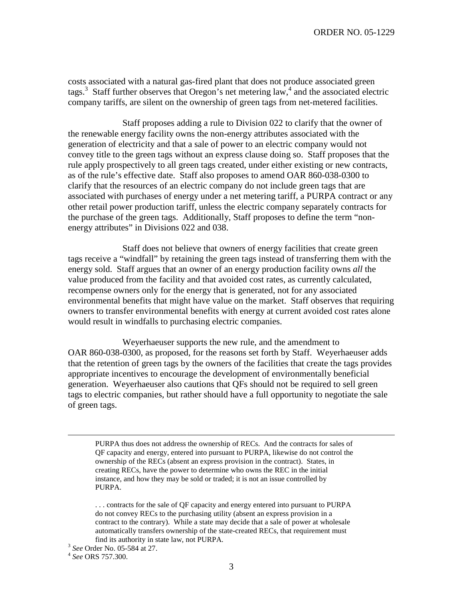costs associated with a natural gas-fired plant that does not produce associated green tags. <sup>3</sup> Staff further observes that Oregon's net metering law, 4 and the associated electric company tariffs, are silent on the ownership of green tags from net-metered facilities.

Staff proposes adding a rule to Division 022 to clarify that the owner of the renewable energy facility owns the non-energy attributes associated with the generation of electricity and that a sale of power to an electric company would not convey title to the green tags without an express clause doing so. Staff proposes that the rule apply prospectively to all green tags created, under either existing or new contracts, as of the rule's effective date. Staff also proposes to amend OAR 860-038-0300 to clarify that the resources of an electric company do not include green tags that are associated with purchases of energy under a net metering tariff, a PURPA contract or any other retail power production tariff, unless the electric company separately contracts for the purchase of the green tags. Additionally, Staff proposes to define the term "nonenergy attributes" in Divisions 022 and 038.

Staff does not believe that owners of energy facilities that create green tags receive a "windfall" by retaining the green tags instead of transferring them with the energy sold. Staff argues that an owner of an energy production facility owns *all* the value produced from the facility and that avoided cost rates, as currently calculated, recompense owners only for the energy that is generated, not for any associated environmental benefits that might have value on the market. Staff observes that requiring owners to transfer environmental benefits with energy at current avoided cost rates alone would result in windfalls to purchasing electric companies.

Weyerhaeuser supports the new rule, and the amendment to OAR 860-038-0300, as proposed, for the reasons set forth by Staff. Weyerhaeuser adds that the retention of green tags by the owners of the facilities that create the tags provides appropriate incentives to encourage the development of environmentally beneficial generation. Weyerhaeuser also cautions that QFs should not be required to sell green tags to electric companies, but rather should have a full opportunity to negotiate the sale of green tags.

PURPA thus does not address the ownership of RECs. And the contracts for sales of QF capacity and energy, entered into pursuant to PURPA, likewise do not control the ownership of the RECs (absent an express provision in the contract). States, in creating RECs, have the power to determine who owns the REC in the initial instance, and how they may be sold or traded; it is not an issue controlled by PURPA.

. . . contracts for the sale of QF capacity and energy entered into pursuant to PURPA do not convey RECs to the purchasing utility (absent an express provision in a contract to the contrary). While a state may decide that a sale of power at wholesale automatically transfers ownership of the state-created RECs, that requirement must find its authority in state law, not PURPA. <sup>3</sup> *See* Order No. 05-584 at 27. <sup>4</sup> *See* ORS 757.300.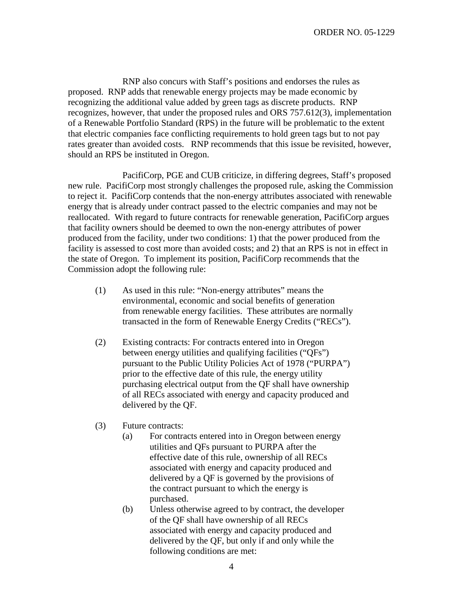RNP also concurs with Staff's positions and endorses the rules as proposed. RNP adds that renewable energy projects may be made economic by recognizing the additional value added by green tags as discrete products. RNP recognizes, however, that under the proposed rules and ORS 757.612(3), implementation of a Renewable Portfolio Standard (RPS) in the future will be problematic to the extent that electric companies face conflicting requirements to hold green tags but to not pay rates greater than avoided costs. RNP recommends that this issue be revisited, however, should an RPS be instituted in Oregon.

PacifiCorp, PGE and CUB criticize, in differing degrees, Staff's proposed new rule. PacifiCorp most strongly challenges the proposed rule, asking the Commission to reject it. PacifiCorp contends that the non-energy attributes associated with renewable energy that is already under contract passed to the electric companies and may not be reallocated. With regard to future contracts for renewable generation, PacifiCorp argues that facility owners should be deemed to own the non-energy attributes of power produced from the facility, under two conditions: 1) that the power produced from the facility is assessed to cost more than avoided costs; and 2) that an RPS is not in effect in the state of Oregon. To implement its position, PacifiCorp recommends that the Commission adopt the following rule:

- (1) As used in this rule: "Non-energy attributes" means the environmental, economic and social benefits of generation from renewable energy facilities. These attributes are normally transacted in the form of Renewable Energy Credits ("RECs").
- (2) Existing contracts: For contracts entered into in Oregon between energy utilities and qualifying facilities ("QFs") pursuant to the Public Utility Policies Act of 1978 ("PURPA") prior to the effective date of this rule, the energy utility purchasing electrical output from the QF shall have ownership of all RECs associated with energy and capacity produced and delivered by the QF.
- (3) Future contracts:
	- (a) For contracts entered into in Oregon between energy utilities and QFs pursuant to PURPA after the effective date of this rule, ownership of all RECs associated with energy and capacity produced and delivered by a QF is governed by the provisions of the contract pursuant to which the energy is purchased.
	- (b) Unless otherwise agreed to by contract, the developer of the QF shall have ownership of all RECs associated with energy and capacity produced and delivered by the QF, but only if and only while the following conditions are met: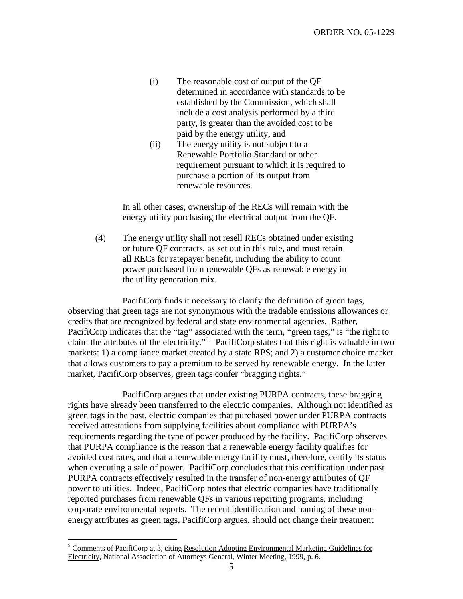- (i) The reasonable cost of output of the QF determined in accordance with standards to be established by the Commission, which shall include a cost analysis performed by a third party, is greater than the avoided cost to be paid by the energy utility, and
- (ii) The energy utility is not subject to a Renewable Portfolio Standard or other requirement pursuant to which it is required to purchase a portion of its output from renewable resources.

In all other cases, ownership of the RECs will remain with the energy utility purchasing the electrical output from the QF.

(4) The energy utility shall not resell RECs obtained under existing or future QF contracts, as set out in this rule, and must retain all RECs for ratepayer benefit, including the ability to count power purchased from renewable QFs as renewable energy in the utility generation mix.

PacifiCorp finds it necessary to clarify the definition of green tags, observing that green tags are not synonymous with the tradable emissions allowances or credits that are recognized by federal and state environmental agencies. Rather, PacifiCorp indicates that the "tag" associated with the term, "green tags," is "the right to claim the attributes of the electricity." <sup>5</sup> PacifiCorp states that this right is valuable in two markets: 1) a compliance market created by a state RPS; and 2) a customer choice market that allows customers to pay a premium to be served by renewable energy. In the latter market, PacifiCorp observes, green tags confer "bragging rights."

PacifiCorp argues that under existing PURPA contracts, these bragging rights have already been transferred to the electric companies. Although not identified as green tags in the past, electric companies that purchased power under PURPA contracts received attestations from supplying facilities about compliance with PURPA's requirements regarding the type of power produced by the facility. PacifiCorp observes that PURPA compliance is the reason that a renewable energy facility qualifies for avoided cost rates, and that a renewable energy facility must, therefore, certify its status when executing a sale of power. PacifiCorp concludes that this certification under past PURPA contracts effectively resulted in the transfer of non-energy attributes of QF power to utilities. Indeed, PacifiCorp notes that electric companies have traditionally reported purchases from renewable QFs in various reporting programs, including corporate environmental reports. The recent identification and naming of these nonenergy attributes as green tags, PacifiCorp argues, should not change their treatment

<sup>&</sup>lt;sup>5</sup> Comments of PacifiCorp at 3, citing Resolution Adopting Environmental Marketing Guidelines for Electricity, National Association of Attorneys General, Winter Meeting, 1999, p. 6.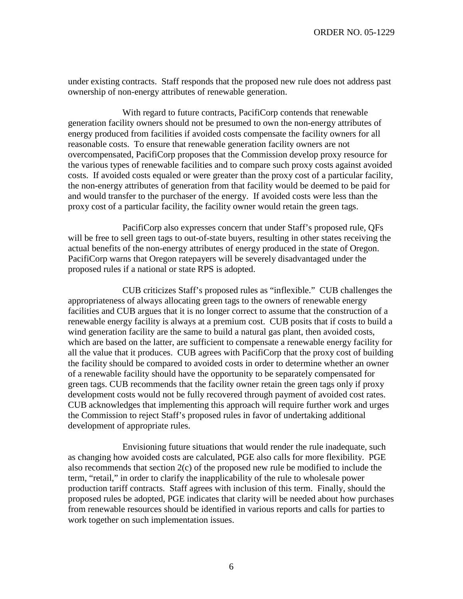under existing contracts. Staff responds that the proposed new rule does not address past ownership of non-energy attributes of renewable generation.

With regard to future contracts, PacifiCorp contends that renewable generation facility owners should not be presumed to own the non-energy attributes of energy produced from facilities if avoided costs compensate the facility owners for all reasonable costs. To ensure that renewable generation facility owners are not overcompensated, PacifiCorp proposes that the Commission develop proxy resource for the various types of renewable facilities and to compare such proxy costs against avoided costs. If avoided costs equaled or were greater than the proxy cost of a particular facility, the non-energy attributes of generation from that facility would be deemed to be paid for and would transfer to the purchaser of the energy. If avoided costs were less than the proxy cost of a particular facility, the facility owner would retain the green tags.

PacifiCorp also expresses concern that under Staff's proposed rule, QFs will be free to sell green tags to out-of-state buyers, resulting in other states receiving the actual benefits of the non-energy attributes of energy produced in the state of Oregon. PacifiCorp warns that Oregon ratepayers will be severely disadvantaged under the proposed rules if a national or state RPS is adopted.

CUB criticizes Staff's proposed rules as "inflexible." CUB challenges the appropriateness of always allocating green tags to the owners of renewable energy facilities and CUB argues that it is no longer correct to assume that the construction of a renewable energy facility is always at a premium cost. CUB posits that if costs to build a wind generation facility are the same to build a natural gas plant, then avoided costs, which are based on the latter, are sufficient to compensate a renewable energy facility for all the value that it produces. CUB agrees with PacifiCorp that the proxy cost of building the facility should be compared to avoided costs in order to determine whether an owner of a renewable facility should have the opportunity to be separately compensated for green tags. CUB recommends that the facility owner retain the green tags only if proxy development costs would not be fully recovered through payment of avoided cost rates. CUB acknowledges that implementing this approach will require further work and urges the Commission to reject Staff's proposed rules in favor of undertaking additional development of appropriate rules.

Envisioning future situations that would render the rule inadequate, such as changing how avoided costs are calculated, PGE also calls for more flexibility. PGE also recommends that section 2(c) of the proposed new rule be modified to include the term, "retail," in order to clarify the inapplicability of the rule to wholesale power production tariff contracts. Staff agrees with inclusion of this term. Finally, should the proposed rules be adopted, PGE indicates that clarity will be needed about how purchases from renewable resources should be identified in various reports and calls for parties to work together on such implementation issues.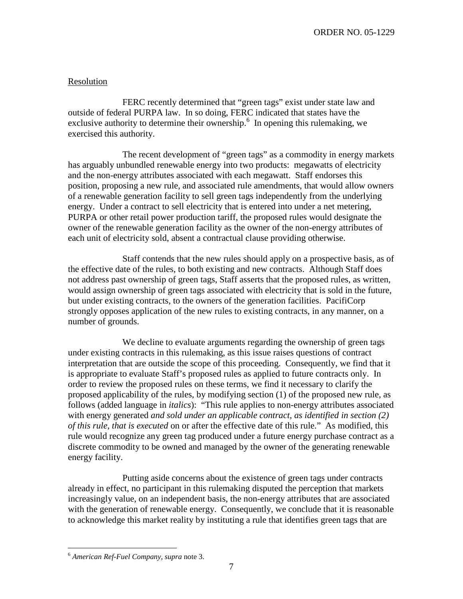## Resolution

FERC recently determined that "green tags" exist under state law and outside of federal PURPA law. In so doing, FERC indicated that states have the exclusive authority to determine their ownership.<sup>6</sup> In opening this rulemaking, we exercised this authority.

The recent development of "green tags" as a commodity in energy markets has arguably unbundled renewable energy into two products: megawatts of electricity and the non-energy attributes associated with each megawatt. Staff endorses this position, proposing a new rule, and associated rule amendments, that would allow owners of a renewable generation facility to sell green tags independently from the underlying energy. Under a contract to sell electricity that is entered into under a net metering, PURPA or other retail power production tariff, the proposed rules would designate the owner of the renewable generation facility as the owner of the non-energy attributes of each unit of electricity sold, absent a contractual clause providing otherwise.

Staff contends that the new rules should apply on a prospective basis, as of the effective date of the rules, to both existing and new contracts. Although Staff does not address past ownership of green tags, Staff asserts that the proposed rules, as written, would assign ownership of green tags associated with electricity that is sold in the future, but under existing contracts, to the owners of the generation facilities. PacifiCorp strongly opposes application of the new rules to existing contracts, in any manner, on a number of grounds.

We decline to evaluate arguments regarding the ownership of green tags under existing contracts in this rulemaking, as this issue raises questions of contract interpretation that are outside the scope of this proceeding. Consequently, we find that it is appropriate to evaluate Staff's proposed rules as applied to future contracts only. In order to review the proposed rules on these terms, we find it necessary to clarify the proposed applicability of the rules, by modifying section (1) of the proposed new rule, as follows (added language in *italics*): "This rule applies to non-energy attributes associated with energy generated *and sold under an applicable contract, as identified in section (2) of this rule, that is executed* on or after the effective date of this rule." As modified, this rule would recognize any green tag produced under a future energy purchase contract as a discrete commodity to be owned and managed by the owner of the generating renewable energy facility.

Putting aside concerns about the existence of green tags under contracts already in effect, no participant in this rulemaking disputed the perception that markets increasingly value, on an independent basis, the non-energy attributes that are associated with the generation of renewable energy. Consequently, we conclude that it is reasonable to acknowledge this market reality by instituting a rule that identifies green tags that are

<sup>6</sup> *American Ref-Fuel Company*, *supra* note 3.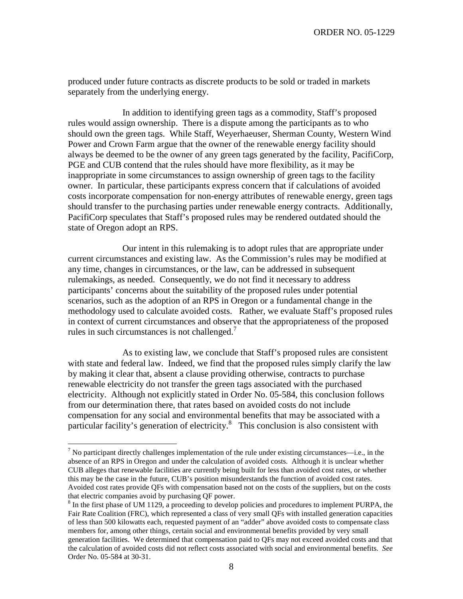produced under future contracts as discrete products to be sold or traded in markets separately from the underlying energy.

In addition to identifying green tags as a commodity, Staff's proposed rules would assign ownership. There is a dispute among the participants as to who should own the green tags. While Staff, Weyerhaeuser, Sherman County, Western Wind Power and Crown Farm argue that the owner of the renewable energy facility should always be deemed to be the owner of any green tags generated by the facility, PacifiCorp, PGE and CUB contend that the rules should have more flexibility, as it may be inappropriate in some circumstances to assign ownership of green tags to the facility owner. In particular, these participants express concern that if calculations of avoided costs incorporate compensation for non-energy attributes of renewable energy, green tags should transfer to the purchasing parties under renewable energy contracts. Additionally, PacifiCorp speculates that Staff's proposed rules may be rendered outdated should the state of Oregon adopt an RPS.

Our intent in this rulemaking is to adopt rules that are appropriate under current circumstances and existing law. As the Commission's rules may be modified at any time, changes in circumstances, or the law, can be addressed in subsequent rulemakings, as needed. Consequently, we do not find it necessary to address participants' concerns about the suitability of the proposed rules under potential scenarios, such as the adoption of an RPS in Oregon or a fundamental change in the methodology used to calculate avoided costs. Rather, we evaluate Staff's proposed rules in context of current circumstances and observe that the appropriateness of the proposed rules in such circumstances is not challenged.<sup>7</sup>

As to existing law, we conclude that Staff's proposed rules are consistent with state and federal law. Indeed, we find that the proposed rules simply clarify the law by making it clear that, absent a clause providing otherwise, contracts to purchase renewable electricity do not transfer the green tags associated with the purchased electricity. Although not explicitly stated in Order No. 05-584, this conclusion follows from our determination there, that rates based on avoided costs do not include compensation for any social and environmental benefits that may be associated with a particular facility's generation of electricity.<sup>8</sup> This conclusion is also consistent with

 $<sup>7</sup>$  No participant directly challenges implementation of the rule under existing circumstances—i.e., in the</sup> absence of an RPS in Oregon and under the calculation of avoided costs. Although it is unclear whether CUB alleges that renewable facilities are currently being built for less than avoided cost rates, or whether this may be the case in the future, CUB's position misunderstands the function of avoided cost rates. Avoided cost rates provide QFs with compensation based not on the costs of the suppliers, but on the costs that electric companies avoid by purchasing QF power.<br><sup>8</sup> In the first phase of UM 1129, a proceeding to develop policies and procedures to implement PURPA, the

Fair Rate Coalition (FRC), which represented a class of very small QFs with installed generation capacities of less than 500 kilowatts each, requested payment of an "adder" above avoided costs to compensate class members for, among other things, certain social and environmental benefits provided by very small generation facilities. We determined that compensation paid to QFs may not exceed avoided costs and that the calculation of avoided costs did not reflect costs associated with social and environmental benefits. *See* Order No. 05-584 at 30-31.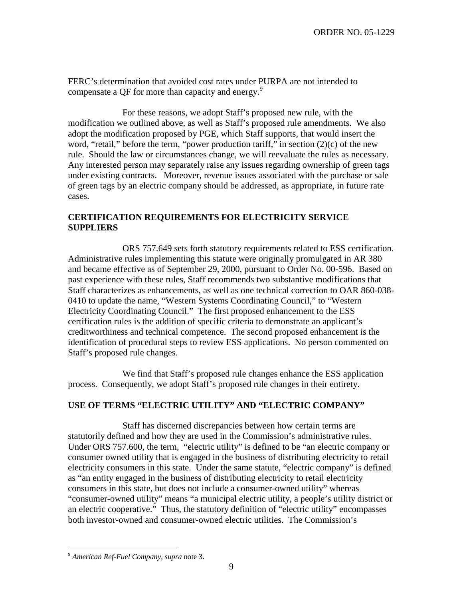FERC's determination that avoided cost rates under PURPA are not intended to compensate a QF for more than capacity and energy.<sup>9</sup>

For these reasons, we adopt Staff's proposed new rule, with the modification we outlined above, as well as Staff's proposed rule amendments. We also adopt the modification proposed by PGE, which Staff supports, that would insert the word, "retail," before the term, "power production tariff," in section (2)(c) of the new rule. Should the law or circumstances change, we will reevaluate the rules as necessary. Any interested person may separately raise any issues regarding ownership of green tags under existing contracts. Moreover, revenue issues associated with the purchase or sale of green tags by an electric company should be addressed, as appropriate, in future rate cases.

## **CERTIFICATION REQUIREMENTS FOR ELECTRICITY SERVICE SUPPLIERS**

ORS 757.649 sets forth statutory requirements related to ESS certification. Administrative rules implementing this statute were originally promulgated in AR 380 and became effective as of September 29, 2000, pursuant to Order No. 00-596. Based on past experience with these rules, Staff recommends two substantive modifications that Staff characterizes as enhancements, as well as one technical correction to OAR 860-038- 0410 to update the name, "Western Systems Coordinating Council," to "Western Electricity Coordinating Council." The first proposed enhancement to the ESS certification rules is the addition of specific criteria to demonstrate an applicant's creditworthiness and technical competence. The second proposed enhancement is the identification of procedural steps to review ESS applications. No person commented on Staff's proposed rule changes.

We find that Staff's proposed rule changes enhance the ESS application process. Consequently, we adopt Staff's proposed rule changes in their entirety.

## **USE OF TERMS "ELECTRIC UTILITY" AND "ELECTRIC COMPANY"**

Staff has discerned discrepancies between how certain terms are statutorily defined and how they are used in the Commission's administrative rules. Under ORS 757.600, the term, "electric utility" is defined to be "an electric company or consumer owned utility that is engaged in the business of distributing electricity to retail electricity consumers in this state. Under the same statute, "electric company" is defined as "an entity engaged in the business of distributing electricity to retail electricity consumers in this state, but does not include a consumer-owned utility" whereas "consumer-owned utility" means "a municipal electric utility, a people's utility district or an electric cooperative." Thus, the statutory definition of "electric utility" encompasses both investor-owned and consumer-owned electric utilities. The Commission's

<sup>9</sup> *American Ref-Fuel Company*, *supra* note 3.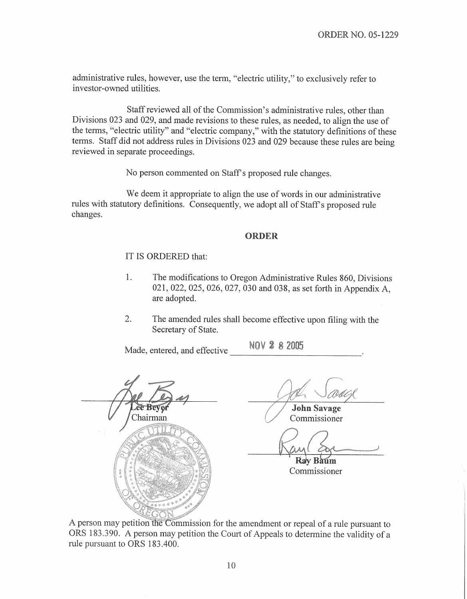administrative rules, however, use the term, "electric utility," to exclusively refer to investor-owned utilities.

Staff reviewed all of the Commission's administrative rules, other than Divisions 023 and 029, and made revisions to these rules, as needed, to align the use of the terms, "electric utility" and "electric company," with the statutory definitions of these terms. Staff did not address rules in Divisions 023 and 029 because these rules are being reviewed in separate proceedings.

No person commented on Staff's proposed rule changes.

We deem it appropriate to align the use of words in our administrative rules with statutory definitions. Consequently, we adopt all of Staff's proposed rule changes.

## **ORDER**

## IT IS ORDERED that:

- 1. The modifications to Oregon Administrative Rules 860, Divisions 021, 022, 025, 026, 027, 030 and 038, as set forth in Appendix A, are adopted.
- $\overline{2}$ . The amended rules shall become effective upon filing with the Secretary of State.

Made, entered, and effective

NOV 2 8 2005

Chairman

**John Savage** Commissioner

Rav Baum Commissioner

A person may petition the Commission for the amendment or repeal of a rule pursuant to ORS 183.390. A person may petition the Court of Appeals to determine the validity of a rule pursuant to ORS 183.400.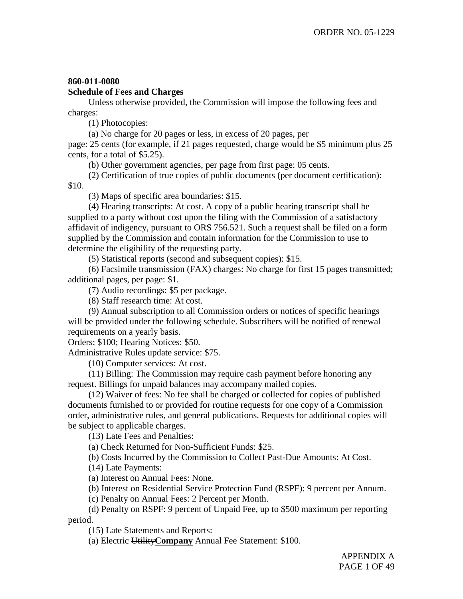## **860-011-0080**

## **Schedule of Fees and Charges**

Unless otherwise provided, the Commission will impose the following fees and charges:

(1) Photocopies:

(a) No charge for 20 pages or less, in excess of 20 pages, per

page: 25 cents (for example, if 21 pages requested, charge would be \$5 minimum plus 25 cents, for a total of \$5.25).

(b) Other government agencies, per page from first page: 05 cents.

(2) Certification of true copies of public documents (per document certification): \$10.

(3) Maps of specific area boundaries: \$15.

(4) Hearing transcripts: At cost. A copy of a public hearing transcript shall be supplied to a party without cost upon the filing with the Commission of a satisfactory affidavit of indigency, pursuant to ORS 756.521. Such a request shall be filed on a form supplied by the Commission and contain information for the Commission to use to determine the eligibility of the requesting party.

(5) Statistical reports (second and subsequent copies): \$15.

(6) Facsimile transmission (FAX) charges: No charge for first 15 pages transmitted; additional pages, per page: \$1.

(7) Audio recordings: \$5 per package.

(8) Staff research time: At cost.

(9) Annual subscription to all Commission orders or notices of specific hearings will be provided under the following schedule. Subscribers will be notified of renewal requirements on a yearly basis.

Orders: \$100; Hearing Notices: \$50.

Administrative Rules update service: \$75.

(10) Computer services: At cost.

(11) Billing: The Commission may require cash payment before honoring any request. Billings for unpaid balances may accompany mailed copies.

(12) Waiver of fees: No fee shall be charged or collected for copies of published documents furnished to or provided for routine requests for one copy of a Commission order, administrative rules, and general publications. Requests for additional copies will be subject to applicable charges.

(13) Late Fees and Penalties:

(a) Check Returned for Non-Sufficient Funds: \$25.

(b) Costs Incurred by the Commission to Collect Past-Due Amounts: At Cost.

(14) Late Payments:

(a) Interest on Annual Fees: None.

(b) Interest on Residential Service Protection Fund (RSPF): 9 percent per Annum.

(c) Penalty on Annual Fees: 2 Percent per Month.

(d) Penalty on RSPF: 9 percent of Unpaid Fee, up to \$500 maximum per reporting period.

(15) Late Statements and Reports:

(a) Electric Utility**Company** Annual Fee Statement: \$100.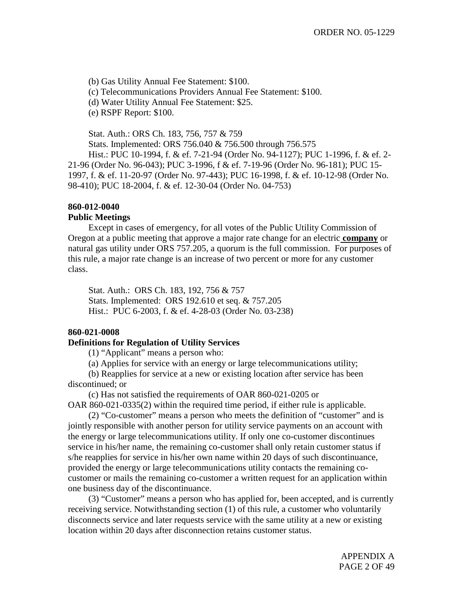(b) Gas Utility Annual Fee Statement: \$100.

(c) Telecommunications Providers Annual Fee Statement: \$100.

(d) Water Utility Annual Fee Statement: \$25.

(e) RSPF Report: \$100.

Stat. Auth.: ORS Ch. 183, 756, 757 & 759

Stats. Implemented: ORS 756.040 & 756.500 through 756.575

Hist.: PUC 10-1994, f. & ef. 7-21-94 (Order No. 94-1127); PUC 1-1996, f. & ef. 2- 21-96 (Order No. 96-043); PUC 3-1996, f & ef. 7-19-96 (Order No. 96-181); PUC 15- 1997, f. & ef. 11-20-97 (Order No. 97-443); PUC 16-1998, f. & ef. 10-12-98 (Order No. 98-410); PUC 18-2004, f. & ef. 12-30-04 (Order No. 04-753)

## **860-012-0040**

## **Public Meetings**

Except in cases of emergency, for all votes of the Public Utility Commission of Oregon at a public meeting that approve a major rate change for an electric **company** or natural gas utility under ORS 757.205, a quorum is the full commission. For purposes of this rule, a major rate change is an increase of two percent or more for any customer class.

Stat. Auth.: ORS Ch. 183, 192, 756 & 757 Stats. Implemented: ORS 192.610 et seq. & 757.205 Hist.: PUC 6-2003, f. & ef. 4-28-03 (Order No. 03-238)

## **860-021-0008**

## **Definitions for Regulation of Utility Services**

(1) "Applicant" means a person who:

(a) Applies for service with an energy or large telecommunications utility;

(b) Reapplies for service at a new or existing location after service has been discontinued; or

(c) Has not satisfied the requirements of OAR 860-021-0205 or OAR 860-021-0335(2) within the required time period, if either rule is applicable.

(2) "Co-customer" means a person who meets the definition of "customer" and is jointly responsible with another person for utility service payments on an account with the energy or large telecommunications utility. If only one co-customer discontinues service in his/her name, the remaining co-customer shall only retain customer status if s/he reapplies for service in his/her own name within 20 days of such discontinuance, provided the energy or large telecommunications utility contacts the remaining cocustomer or mails the remaining co-customer a written request for an application within one business day of the discontinuance.

(3) "Customer" means a person who has applied for, been accepted, and is currently receiving service. Notwithstanding section (1) of this rule, a customer who voluntarily disconnects service and later requests service with the same utility at a new or existing location within 20 days after disconnection retains customer status.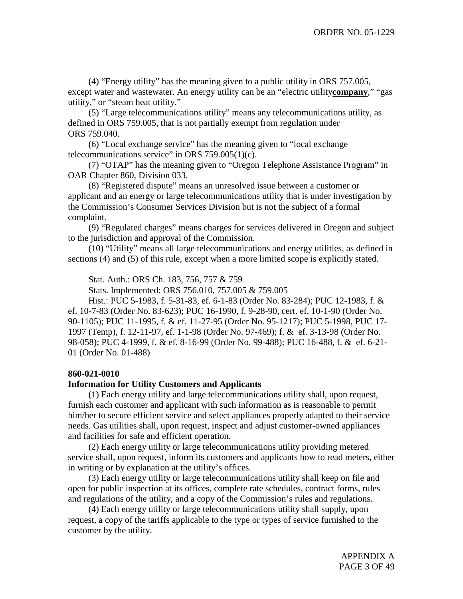(4) "Energy utility" has the meaning given to a public utility in ORS 757.005, except water and wastewater. An energy utility can be an "electric utility**company**," "gas utility," or "steam heat utility."

(5) "Large telecommunications utility" means any telecommunications utility, as defined in ORS 759.005, that is not partially exempt from regulation under ORS 759.040.

(6) "Local exchange service" has the meaning given to "local exchange telecommunications service" in ORS 759.005(1)(c).

(7) "OTAP" has the meaning given to "Oregon Telephone Assistance Program" in OAR Chapter 860, Division 033.

(8) "Registered dispute" means an unresolved issue between a customer or applicant and an energy or large telecommunications utility that is under investigation by the Commission's Consumer Services Division but is not the subject of a formal complaint.

(9) "Regulated charges" means charges for services delivered in Oregon and subject to the jurisdiction and approval of the Commission.

(10) "Utility" means all large telecommunications and energy utilities, as defined in sections (4) and (5) of this rule, except when a more limited scope is explicitly stated.

Stat. Auth.: ORS Ch. 183, 756, 757 & 759

Stats. Implemented: ORS 756.010, 757.005 & 759.005

Hist.: PUC 5-1983, f. 5-31-83, ef. 6-1-83 (Order No. 83-284); PUC 12-1983, f. & ef. 10-7-83 (Order No. 83-623); PUC 16-1990, f. 9-28-90, cert. ef. 10-1-90 (Order No. 90-1105); PUC 11-1995, f. & ef. 11-27-95 (Order No. 95-1217); PUC 5-1998, PUC 17- 1997 (Temp), f. 12-11-97, ef. 1-1-98 (Order No. 97-469); f. & ef. 3-13-98 (Order No. 98-058); PUC 4-1999, f. & ef. 8-16-99 (Order No. 99-488); PUC 16-488, f. & ef. 6-21- 01 (Order No. 01-488)

## **860-021-0010**

## **Information for Utility Customers and Applicants**

(1) Each energy utility and large telecommunications utility shall, upon request, furnish each customer and applicant with such information as is reasonable to permit him/her to secure efficient service and select appliances properly adapted to their service needs. Gas utilities shall, upon request, inspect and adjust customer-owned appliances and facilities for safe and efficient operation.

(2) Each energy utility or large telecommunications utility providing metered service shall, upon request, inform its customers and applicants how to read meters, either in writing or by explanation at the utility's offices.

(3) Each energy utility or large telecommunications utility shall keep on file and open for public inspection at its offices, complete rate schedules, contract forms, rules and regulations of the utility, and a copy of the Commission's rules and regulations.

(4) Each energy utility or large telecommunications utility shall supply, upon request, a copy of the tariffs applicable to the type or types of service furnished to the customer by the utility.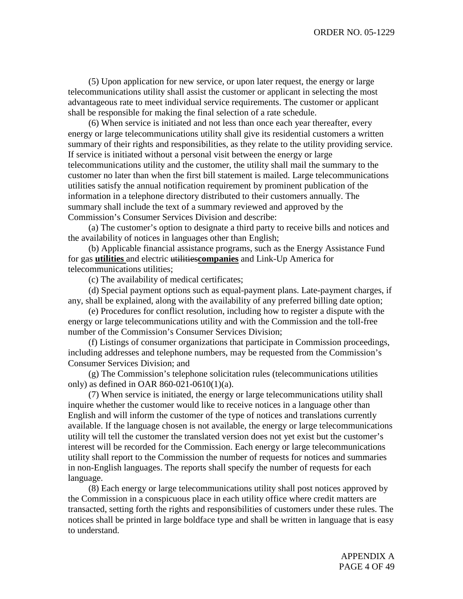(5) Upon application for new service, or upon later request, the energy or large telecommunications utility shall assist the customer or applicant in selecting the most advantageous rate to meet individual service requirements. The customer or applicant shall be responsible for making the final selection of a rate schedule.

(6) When service is initiated and not less than once each year thereafter, every energy or large telecommunications utility shall give its residential customers a written summary of their rights and responsibilities, as they relate to the utility providing service. If service is initiated without a personal visit between the energy or large telecommunications utility and the customer, the utility shall mail the summary to the customer no later than when the first bill statement is mailed. Large telecommunications utilities satisfy the annual notification requirement by prominent publication of the information in a telephone directory distributed to their customers annually. The summary shall include the text of a summary reviewed and approved by the Commission's Consumer Services Division and describe:

(a) The customer's option to designate a third party to receive bills and notices and the availability of notices in languages other than English;

(b) Applicable financial assistance programs, such as the Energy Assistance Fund for gas **utilities** and electric utilities**companies** and Link-Up America for telecommunications utilities;

(c) The availability of medical certificates;

(d) Special payment options such as equal-payment plans. Late-payment charges, if any, shall be explained, along with the availability of any preferred billing date option;

(e) Procedures for conflict resolution, including how to register a dispute with the energy or large telecommunications utility and with the Commission and the toll-free number of the Commission's Consumer Services Division;

(f) Listings of consumer organizations that participate in Commission proceedings, including addresses and telephone numbers, may be requested from the Commission's Consumer Services Division; and

(g) The Commission's telephone solicitation rules (telecommunications utilities only) as defined in OAR 860-021-0610(1)(a).

(7) When service is initiated, the energy or large telecommunications utility shall inquire whether the customer would like to receive notices in a language other than English and will inform the customer of the type of notices and translations currently available. If the language chosen is not available, the energy or large telecommunications utility will tell the customer the translated version does not yet exist but the customer's interest will be recorded for the Commission. Each energy or large telecommunications utility shall report to the Commission the number of requests for notices and summaries in non-English languages. The reports shall specify the number of requests for each language.

(8) Each energy or large telecommunications utility shall post notices approved by the Commission in a conspicuous place in each utility office where credit matters are transacted, setting forth the rights and responsibilities of customers under these rules. The notices shall be printed in large boldface type and shall be written in language that is easy to understand.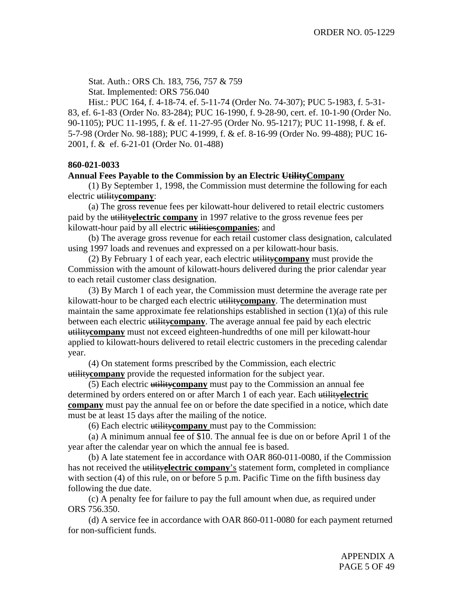Stat. Auth.: ORS Ch. 183, 756, 757 & 759 Stat. Implemented: ORS 756.040

Hist.: PUC 164, f. 4-18-74. ef. 5-11-74 (Order No. 74-307); PUC 5-1983, f. 5-31- 83, ef. 6-1-83 (Order No. 83-284); PUC 16-1990, f. 9-28-90, cert. ef. 10-1-90 (Order No. 90-1105); PUC 11-1995, f. & ef. 11-27-95 (Order No. 95-1217); PUC 11-1998, f. & ef. 5-7-98 (Order No. 98-188); PUC 4-1999, f. & ef. 8-16-99 (Order No. 99-488); PUC 16- 2001, f. & ef. 6-21-01 (Order No. 01-488)

## **860-021-0033**

## **Annual Fees Payable to the Commission by an Electric UtilityCompany**

(1) By September 1, 1998, the Commission must determine the following for each electric utility**company**:

(a) The gross revenue fees per kilowatt-hour delivered to retail electric customers paid by the utility**electric company** in 1997 relative to the gross revenue fees per kilowatt-hour paid by all electric utilities**companies**; and

(b) The average gross revenue for each retail customer class designation, calculated using 1997 loads and revenues and expressed on a per kilowatt-hour basis.

(2) By February 1 of each year, each electric utility**company** must provide the Commission with the amount of kilowatt-hours delivered during the prior calendar year to each retail customer class designation.

(3) By March 1 of each year, the Commission must determine the average rate per kilowatt-hour to be charged each electric utility**company**. The determination must maintain the same approximate fee relationships established in section (1)(a) of this rule between each electric utility**company**. The average annual fee paid by each electric utility**company** must not exceed eighteen-hundredths of one mill per kilowatt-hour applied to kilowatt-hours delivered to retail electric customers in the preceding calendar year.

(4) On statement forms prescribed by the Commission, each electric utility**company** provide the requested information for the subject year.

(5) Each electric utility**company** must pay to the Commission an annual fee determined by orders entered on or after March 1 of each year. Each utility**electric company** must pay the annual fee on or before the date specified in a notice, which date must be at least 15 days after the mailing of the notice.

(6) Each electric utility**company** must pay to the Commission:

(a) A minimum annual fee of \$10. The annual fee is due on or before April 1 of the year after the calendar year on which the annual fee is based.

(b) A late statement fee in accordance with OAR 860-011-0080, if the Commission has not received the utility**electric company**'s statement form, completed in compliance with section (4) of this rule, on or before 5 p.m. Pacific Time on the fifth business day following the due date.

(c) A penalty fee for failure to pay the full amount when due, as required under ORS 756.350.

(d) A service fee in accordance with OAR 860-011-0080 for each payment returned for non-sufficient funds.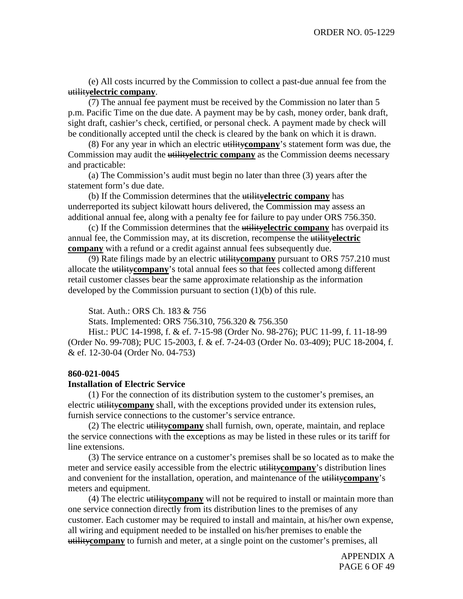(e) All costs incurred by the Commission to collect a past-due annual fee from the utility**electric company**.

(7) The annual fee payment must be received by the Commission no later than 5 p.m. Pacific Time on the due date. A payment may be by cash, money order, bank draft, sight draft, cashier's check, certified, or personal check. A payment made by check will be conditionally accepted until the check is cleared by the bank on which it is drawn.

(8) For any year in which an electric utility**company**'s statement form was due, the Commission may audit the utility**electric company** as the Commission deems necessary and practicable:

(a) The Commission's audit must begin no later than three (3) years after the statement form's due date.

(b) If the Commission determines that the utility**electric company** has underreported its subject kilowatt hours delivered, the Commission may assess an additional annual fee, along with a penalty fee for failure to pay under ORS 756.350.

(c) If the Commission determines that the utility**electric company** has overpaid its annual fee, the Commission may, at its discretion, recompense the utility**electric company** with a refund or a credit against annual fees subsequently due.

(9) Rate filings made by an electric utility**company** pursuant to ORS 757.210 must allocate the utility**company**'s total annual fees so that fees collected among different retail customer classes bear the same approximate relationship as the information developed by the Commission pursuant to section (1)(b) of this rule.

Stat. Auth.: ORS Ch. 183 & 756

Stats. Implemented: ORS 756.310, 756.320 & 756.350

Hist.: PUC 14-1998, f. & ef. 7-15-98 (Order No. 98-276); PUC 11-99, f. 11-18-99 (Order No. 99-708); PUC 15-2003, f. & ef. 7-24-03 (Order No. 03-409); PUC 18-2004, f. & ef. 12-30-04 (Order No. 04-753)

## **860-021-0045**

### **Installation of Electric Service**

(1) For the connection of its distribution system to the customer's premises, an electric utility**company** shall, with the exceptions provided under its extension rules, furnish service connections to the customer's service entrance.

(2) The electric utility**company** shall furnish, own, operate, maintain, and replace the service connections with the exceptions as may be listed in these rules or its tariff for line extensions.

(3) The service entrance on a customer's premises shall be so located as to make the meter and service easily accessible from the electric utility**company**'s distribution lines and convenient for the installation, operation, and maintenance of the utility**company**'s meters and equipment.

(4) The electric utility**company** will not be required to install or maintain more than one service connection directly from its distribution lines to the premises of any customer. Each customer may be required to install and maintain, at his/her own expense, all wiring and equipment needed to be installed on his/her premises to enable the utility**company** to furnish and meter, at a single point on the customer's premises, all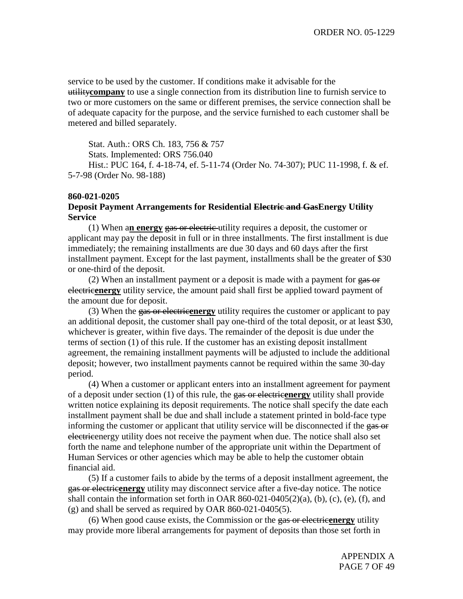service to be used by the customer. If conditions make it advisable for the utility**company** to use a single connection from its distribution line to furnish service to two or more customers on the same or different premises, the service connection shall be of adequate capacity for the purpose, and the service furnished to each customer shall be metered and billed separately.

Stat. Auth.: ORS Ch. 183, 756 & 757

Stats. Implemented: ORS 756.040

Hist.: PUC 164, f. 4-18-74, ef. 5-11-74 (Order No. 74-307); PUC 11-1998, f. & ef. 5-7-98 (Order No. 98-188)

#### **860-021-0205**

## **Deposit Payment Arrangements for Residential Electric and GasEnergy Utility Service**

(1) When a**n energy** gas or electric utility requires a deposit, the customer or applicant may pay the deposit in full or in three installments. The first installment is due immediately; the remaining installments are due 30 days and 60 days after the first installment payment. Except for the last payment, installments shall be the greater of \$30 or one-third of the deposit.

(2) When an installment payment or a deposit is made with a payment for gas or electric**energy** utility service, the amount paid shall first be applied toward payment of the amount due for deposit.

(3) When the gas or electric**energy** utility requires the customer or applicant to pay an additional deposit, the customer shall pay one-third of the total deposit, or at least \$30, whichever is greater, within five days. The remainder of the deposit is due under the terms of section (1) of this rule. If the customer has an existing deposit installment agreement, the remaining installment payments will be adjusted to include the additional deposit; however, two installment payments cannot be required within the same 30-day period.

(4) When a customer or applicant enters into an installment agreement for payment of a deposit under section (1) of this rule, the gas or electric**energy** utility shall provide written notice explaining its deposit requirements. The notice shall specify the date each installment payment shall be due and shall include a statement printed in bold-face type informing the customer or applicant that utility service will be disconnected if the gas or electricenergy utility does not receive the payment when due. The notice shall also set forth the name and telephone number of the appropriate unit within the Department of Human Services or other agencies which may be able to help the customer obtain financial aid.

(5) If a customer fails to abide by the terms of a deposit installment agreement, the gas or electric**energy** utility may disconnect service after a five-day notice. The notice shall contain the information set forth in OAR  $860-021-0405(2)(a)$ , (b), (c), (e), (f), and (g) and shall be served as required by OAR 860-021-0405(5).

(6) When good cause exists, the Commission or the gas or electric**energy** utility may provide more liberal arrangements for payment of deposits than those set forth in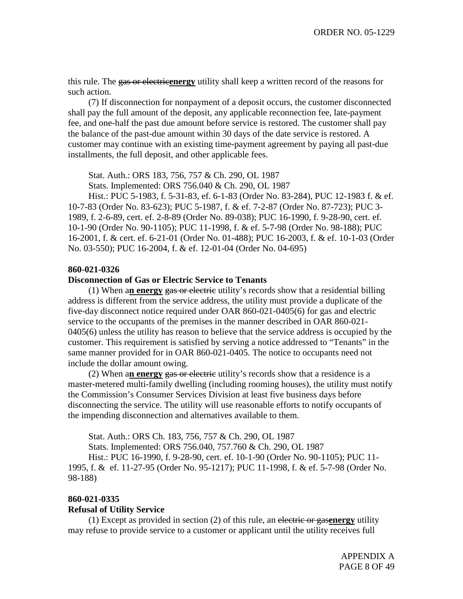this rule. The gas or electric**energy** utility shall keep a written record of the reasons for such action.

(7) If disconnection for nonpayment of a deposit occurs, the customer disconnected shall pay the full amount of the deposit, any applicable reconnection fee, late-payment fee, and one-half the past due amount before service is restored. The customer shall pay the balance of the past-due amount within 30 days of the date service is restored. A customer may continue with an existing time-payment agreement by paying all past-due installments, the full deposit, and other applicable fees.

Stat. Auth.: ORS 183, 756, 757 & Ch. 290, OL 1987

Stats. Implemented: ORS 756.040 & Ch. 290, OL 1987

Hist.: PUC 5-1983, f. 5-31-83, ef. 6-1-83 (Order No. 83-284), PUC 12-1983 f. & ef. 10-7-83 (Order No. 83-623); PUC 5-1987, f. & ef. 7-2-87 (Order No. 87-723); PUC 3- 1989, f. 2-6-89, cert. ef. 2-8-89 (Order No. 89-038); PUC 16-1990, f. 9-28-90, cert. ef. 10-1-90 (Order No. 90-1105); PUC 11-1998, f. & ef. 5-7-98 (Order No. 98-188); PUC 16-2001, f. & cert. ef. 6-21-01 (Order No. 01-488); PUC 16-2003, f. & ef. 10-1-03 (Order No. 03-550); PUC 16-2004, f. & ef. 12-01-04 (Order No. 04-695)

#### **860-021-0326**

## **Disconnection of Gas or Electric Service to Tenants**

(1) When a**n energy** gas or electric utility's records show that a residential billing address is different from the service address, the utility must provide a duplicate of the five-day disconnect notice required under OAR 860-021-0405(6) for gas and electric service to the occupants of the premises in the manner described in OAR 860-021- 0405(6) unless the utility has reason to believe that the service address is occupied by the customer. This requirement is satisfied by serving a notice addressed to "Tenants" in the same manner provided for in OAR 860-021-0405. The notice to occupants need not include the dollar amount owing.

(2) When a**n energy** gas or electric utility's records show that a residence is a master-metered multi-family dwelling (including rooming houses), the utility must notify the Commission's Consumer Services Division at least five business days before disconnecting the service. The utility will use reasonable efforts to notify occupants of the impending disconnection and alternatives available to them.

Stat. Auth.: ORS Ch. 183, 756, 757 & Ch. 290, OL 1987

Stats. Implemented: ORS 756.040, 757.760 & Ch. 290, OL 1987

Hist.: PUC 16-1990, f. 9-28-90, cert. ef. 10-1-90 (Order No. 90-1105); PUC 11- 1995, f. & ef. 11-27-95 (Order No. 95-1217); PUC 11-1998, f. & ef. 5-7-98 (Order No. 98-188)

## **860-021-0335**

#### **Refusal of Utility Service**

(1) Except as provided in section (2) of this rule, an electric or gas**energy** utility may refuse to provide service to a customer or applicant until the utility receives full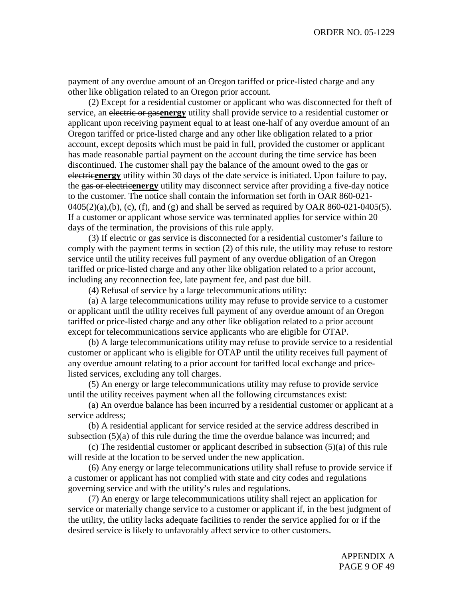payment of any overdue amount of an Oregon tariffed or price-listed charge and any other like obligation related to an Oregon prior account.

(2) Except for a residential customer or applicant who was disconnected for theft of service, an electric or gas**energy** utility shall provide service to a residential customer or applicant upon receiving payment equal to at least one-half of any overdue amount of an Oregon tariffed or price-listed charge and any other like obligation related to a prior account, except deposits which must be paid in full, provided the customer or applicant has made reasonable partial payment on the account during the time service has been discontinued. The customer shall pay the balance of the amount owed to the gas or electric**energy** utility within 30 days of the date service is initiated. Upon failure to pay, the gas or electric**energy** utility may disconnect service after providing a five-day notice to the customer. The notice shall contain the information set forth in OAR 860-021-  $0405(2)(a)$ , (b), (c), (f), and (g) and shall be served as required by OAR 860-021-0405(5). If a customer or applicant whose service was terminated applies for service within 20 days of the termination, the provisions of this rule apply.

(3) If electric or gas service is disconnected for a residential customer's failure to comply with the payment terms in section (2) of this rule, the utility may refuse to restore service until the utility receives full payment of any overdue obligation of an Oregon tariffed or price-listed charge and any other like obligation related to a prior account, including any reconnection fee, late payment fee, and past due bill.

(4) Refusal of service by a large telecommunications utility:

(a) A large telecommunications utility may refuse to provide service to a customer or applicant until the utility receives full payment of any overdue amount of an Oregon tariffed or price-listed charge and any other like obligation related to a prior account except for telecommunications service applicants who are eligible for OTAP.

(b) A large telecommunications utility may refuse to provide service to a residential customer or applicant who is eligible for OTAP until the utility receives full payment of any overdue amount relating to a prior account for tariffed local exchange and pricelisted services, excluding any toll charges.

(5) An energy or large telecommunications utility may refuse to provide service until the utility receives payment when all the following circumstances exist:

(a) An overdue balance has been incurred by a residential customer or applicant at a service address;

(b) A residential applicant for service resided at the service address described in subsection (5)(a) of this rule during the time the overdue balance was incurred; and

(c) The residential customer or applicant described in subsection (5)(a) of this rule will reside at the location to be served under the new application.

(6) Any energy or large telecommunications utility shall refuse to provide service if a customer or applicant has not complied with state and city codes and regulations governing service and with the utility's rules and regulations.

(7) An energy or large telecommunications utility shall reject an application for service or materially change service to a customer or applicant if, in the best judgment of the utility, the utility lacks adequate facilities to render the service applied for or if the desired service is likely to unfavorably affect service to other customers.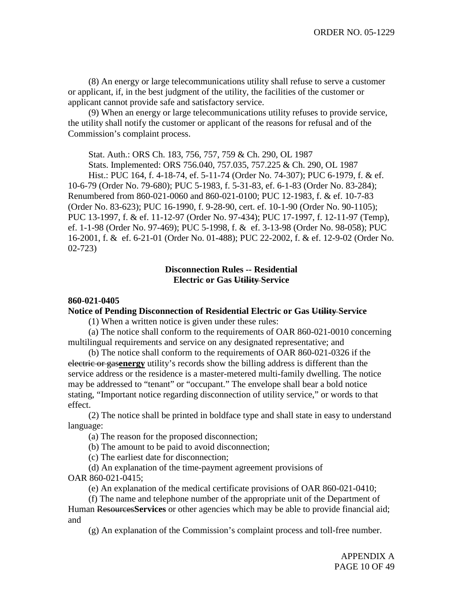(8) An energy or large telecommunications utility shall refuse to serve a customer or applicant, if, in the best judgment of the utility, the facilities of the customer or applicant cannot provide safe and satisfactory service.

(9) When an energy or large telecommunications utility refuses to provide service, the utility shall notify the customer or applicant of the reasons for refusal and of the Commission's complaint process.

Stat. Auth.: ORS Ch. 183, 756, 757, 759 & Ch. 290, OL 1987 Stats. Implemented: ORS 756.040, 757.035, 757.225 & Ch. 290, OL 1987 Hist.: PUC 164, f. 4-18-74, ef. 5-11-74 (Order No. 74-307); PUC 6-1979, f. & ef. 10-6-79 (Order No. 79-680); PUC 5-1983, f. 5-31-83, ef. 6-1-83 (Order No. 83-284); Renumbered from 860-021-0060 and 860-021-0100; PUC 12-1983, f. & ef. 10-7-83 (Order No. 83-623); PUC 16-1990, f. 9-28-90, cert. ef. 10-1-90 (Order No. 90-1105); PUC 13-1997, f. & ef. 11-12-97 (Order No. 97-434); PUC 17-1997, f. 12-11-97 (Temp), ef. 1-1-98 (Order No. 97-469); PUC 5-1998, f. & ef. 3-13-98 (Order No. 98-058); PUC 16-2001, f. & ef. 6-21-01 (Order No. 01-488); PUC 22-2002, f. & ef. 12-9-02 (Order No. 02-723)

## **Disconnection Rules -- Residential Electric or Gas Utility Service**

## **860-021-0405**

**Notice of Pending Disconnection of Residential Electric or Gas Utility Service**

(1) When a written notice is given under these rules:

(a) The notice shall conform to the requirements of OAR 860-021-0010 concerning multilingual requirements and service on any designated representative; and

(b) The notice shall conform to the requirements of OAR 860-021-0326 if the electric or gas**energy** utility's records show the billing address is different than the service address or the residence is a master-metered multi-family dwelling. The notice may be addressed to "tenant" or "occupant." The envelope shall bear a bold notice stating, "Important notice regarding disconnection of utility service," or words to that effect.

(2) The notice shall be printed in boldface type and shall state in easy to understand language:

(a) The reason for the proposed disconnection;

(b) The amount to be paid to avoid disconnection;

(c) The earliest date for disconnection;

(d) An explanation of the time-payment agreement provisions of OAR 860-021-0415;

(e) An explanation of the medical certificate provisions of OAR 860-021-0410;

(f) The name and telephone number of the appropriate unit of the Department of Human Resources**Services** or other agencies which may be able to provide financial aid; and

(g) An explanation of the Commission's complaint process and toll-free number.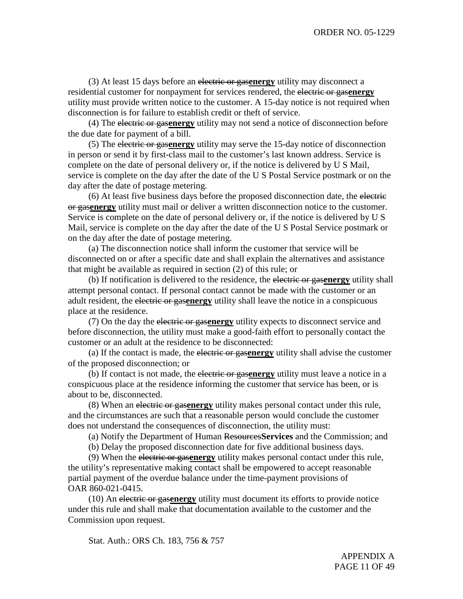(3) At least 15 days before an electric or gas**energy** utility may disconnect a residential customer for nonpayment for services rendered, the electric or gas**energy** utility must provide written notice to the customer. A 15-day notice is not required when disconnection is for failure to establish credit or theft of service.

(4) The electric or gas**energy** utility may not send a notice of disconnection before the due date for payment of a bill.

(5) The electric or gas**energy** utility may serve the 15-day notice of disconnection in person or send it by first-class mail to the customer's last known address. Service is complete on the date of personal delivery or, if the notice is delivered by U S Mail, service is complete on the day after the date of the U S Postal Service postmark or on the day after the date of postage metering.

(6) At least five business days before the proposed disconnection date, the electric or gas**energy** utility must mail or deliver a written disconnection notice to the customer. Service is complete on the date of personal delivery or, if the notice is delivered by U S Mail, service is complete on the day after the date of the U S Postal Service postmark or on the day after the date of postage metering.

(a) The disconnection notice shall inform the customer that service will be disconnected on or after a specific date and shall explain the alternatives and assistance that might be available as required in section (2) of this rule; or

(b) If notification is delivered to the residence, the electric or gas**energy** utility shall attempt personal contact. If personal contact cannot be made with the customer or an adult resident, the electric or gas**energy** utility shall leave the notice in a conspicuous place at the residence.

(7) On the day the electric or gas**energy** utility expects to disconnect service and before disconnection, the utility must make a good-faith effort to personally contact the customer or an adult at the residence to be disconnected:

(a) If the contact is made, the electric or gas**energy** utility shall advise the customer of the proposed disconnection; or

(b) If contact is not made, the electric or gas**energy** utility must leave a notice in a conspicuous place at the residence informing the customer that service has been, or is about to be, disconnected.

(8) When an electric or gas**energy** utility makes personal contact under this rule, and the circumstances are such that a reasonable person would conclude the customer does not understand the consequences of disconnection, the utility must:

(a) Notify the Department of Human Resources**Services** and the Commission; and

(b) Delay the proposed disconnection date for five additional business days.

(9) When the electric or gas**energy** utility makes personal contact under this rule, the utility's representative making contact shall be empowered to accept reasonable partial payment of the overdue balance under the time-payment provisions of OAR 860-021-0415.

(10) An electric or gas**energy** utility must document its efforts to provide notice under this rule and shall make that documentation available to the customer and the Commission upon request.

Stat. Auth.: ORS Ch. 183, 756 & 757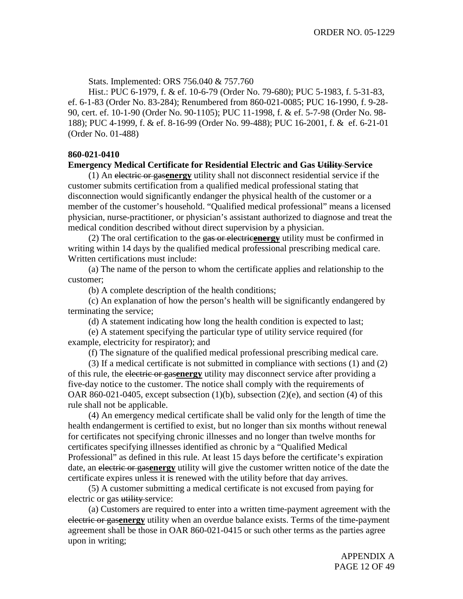Stats. Implemented: ORS 756.040 & 757.760

Hist.: PUC 6-1979, f. & ef. 10-6-79 (Order No. 79-680); PUC 5-1983, f. 5-31-83, ef. 6-1-83 (Order No. 83-284); Renumbered from 860-021-0085; PUC 16-1990, f. 9-28- 90, cert. ef. 10-1-90 (Order No. 90-1105); PUC 11-1998, f. & ef. 5-7-98 (Order No. 98- 188); PUC 4-1999, f. & ef. 8-16-99 (Order No. 99-488); PUC 16-2001, f. & ef. 6-21-01 (Order No. 01-488)

## **860-021-0410**

## **Emergency Medical Certificate for Residential Electric and Gas Utility Service**

(1) An electric or gas**energy** utility shall not disconnect residential service if the customer submits certification from a qualified medical professional stating that disconnection would significantly endanger the physical health of the customer or a member of the customer's household. "Qualified medical professional" means a licensed physician, nurse-practitioner, or physician's assistant authorized to diagnose and treat the medical condition described without direct supervision by a physician.

(2) The oral certification to the gas or electric**energy** utility must be confirmed in writing within 14 days by the qualified medical professional prescribing medical care. Written certifications must include:

(a) The name of the person to whom the certificate applies and relationship to the customer;

(b) A complete description of the health conditions;

(c) An explanation of how the person's health will be significantly endangered by terminating the service;

(d) A statement indicating how long the health condition is expected to last;

(e) A statement specifying the particular type of utility service required (for example, electricity for respirator); and

(f) The signature of the qualified medical professional prescribing medical care.

(3) If a medical certificate is not submitted in compliance with sections (1) and (2) of this rule, the electric or gas**energy** utility may disconnect service after providing a five-day notice to the customer. The notice shall comply with the requirements of OAR 860-021-0405, except subsection  $(1)(b)$ , subsection  $(2)(e)$ , and section  $(4)$  of this rule shall not be applicable.

(4) An emergency medical certificate shall be valid only for the length of time the health endangerment is certified to exist, but no longer than six months without renewal for certificates not specifying chronic illnesses and no longer than twelve months for certificates specifying illnesses identified as chronic by a "Qualified Medical Professional" as defined in this rule. At least 15 days before the certificate's expiration date, an electric or gas**energy** utility will give the customer written notice of the date the certificate expires unless it is renewed with the utility before that day arrives.

(5) A customer submitting a medical certificate is not excused from paying for electric or gas utility service:

(a) Customers are required to enter into a written time-payment agreement with the electric or gas**energy** utility when an overdue balance exists. Terms of the time-payment agreement shall be those in OAR 860-021-0415 or such other terms as the parties agree upon in writing;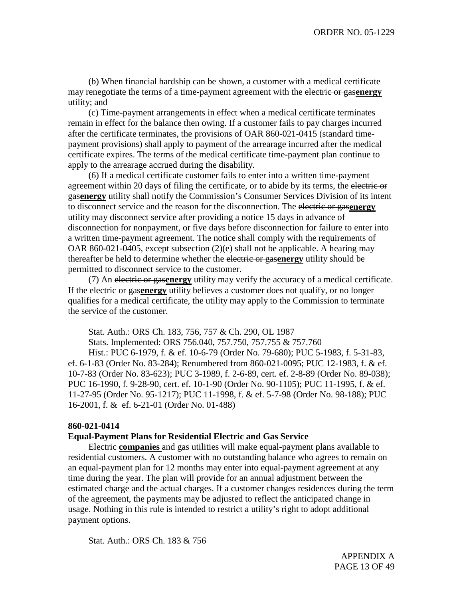(b) When financial hardship can be shown, a customer with a medical certificate may renegotiate the terms of a time-payment agreement with the electric or gas**energy** utility; and

(c) Time-payment arrangements in effect when a medical certificate terminates remain in effect for the balance then owing. If a customer fails to pay charges incurred after the certificate terminates, the provisions of OAR 860-021-0415 (standard timepayment provisions) shall apply to payment of the arrearage incurred after the medical certificate expires. The terms of the medical certificate time-payment plan continue to apply to the arrearage accrued during the disability.

(6) If a medical certificate customer fails to enter into a written time-payment agreement within 20 days of filing the certificate, or to abide by its terms, the electric or gas**energy** utility shall notify the Commission's Consumer Services Division of its intent to disconnect service and the reason for the disconnection. The electric or gas**energy** utility may disconnect service after providing a notice 15 days in advance of disconnection for nonpayment, or five days before disconnection for failure to enter into a written time-payment agreement. The notice shall comply with the requirements of OAR 860-021-0405, except subsection (2)(e) shall not be applicable. A hearing may thereafter be held to determine whether the electric or gas**energy** utility should be permitted to disconnect service to the customer.

(7) An electric or gas**energy** utility may verify the accuracy of a medical certificate. If the electric or gas**energy** utility believes a customer does not qualify, or no longer qualifies for a medical certificate, the utility may apply to the Commission to terminate the service of the customer.

Stat. Auth.: ORS Ch. 183, 756, 757 & Ch. 290, OL 1987 Stats. Implemented: ORS 756.040, 757.750, 757.755 & 757.760 Hist.: PUC 6-1979, f. & ef. 10-6-79 (Order No. 79-680); PUC 5-1983, f. 5-31-83, ef. 6-1-83 (Order No. 83-284); Renumbered from 860-021-0095; PUC 12-1983, f. & ef. 10-7-83 (Order No. 83-623); PUC 3-1989, f. 2-6-89, cert. ef. 2-8-89 (Order No. 89-038); PUC 16-1990, f. 9-28-90, cert. ef. 10-1-90 (Order No. 90-1105); PUC 11-1995, f. & ef. 11-27-95 (Order No. 95-1217); PUC 11-1998, f. & ef. 5-7-98 (Order No. 98-188); PUC 16-2001, f. & ef. 6-21-01 (Order No. 01-488)

## **860-021-0414**

## **Equal-Payment Plans for Residential Electric and Gas Service**

Electric **companies** and gas utilities will make equal-payment plans available to residential customers. A customer with no outstanding balance who agrees to remain on an equal-payment plan for 12 months may enter into equal-payment agreement at any time during the year. The plan will provide for an annual adjustment between the estimated charge and the actual charges. If a customer changes residences during the term of the agreement, the payments may be adjusted to reflect the anticipated change in usage. Nothing in this rule is intended to restrict a utility's right to adopt additional payment options.

Stat. Auth.: ORS Ch. 183 & 756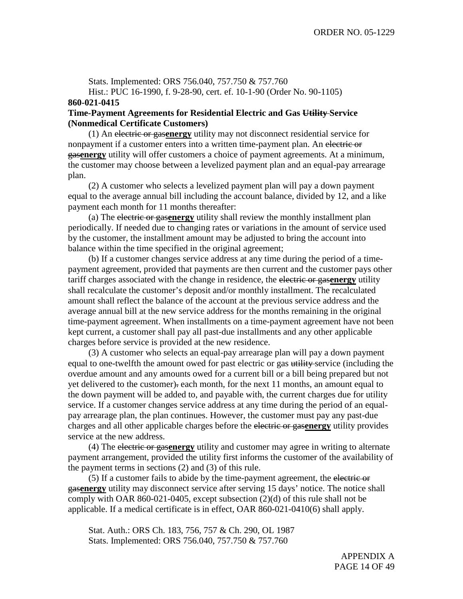Stats. Implemented: ORS 756.040, 757.750 & 757.760 Hist.: PUC 16-1990, f. 9-28-90, cert. ef. 10-1-90 (Order No. 90-1105)

### **860-021-0415**

## **Time-Payment Agreements for Residential Electric and Gas Utility Service (Nonmedical Certificate Customers)**

(1) An electric or gas**energy** utility may not disconnect residential service for nonpayment if a customer enters into a written time-payment plan. An electric or gas**energy** utility will offer customers a choice of payment agreements. At a minimum, the customer may choose between a levelized payment plan and an equal-pay arrearage plan.

(2) A customer who selects a levelized payment plan will pay a down payment equal to the average annual bill including the account balance, divided by 12, and a like payment each month for 11 months thereafter:

(a) The electric or gas**energy** utility shall review the monthly installment plan periodically. If needed due to changing rates or variations in the amount of service used by the customer, the installment amount may be adjusted to bring the account into balance within the time specified in the original agreement;

(b) If a customer changes service address at any time during the period of a timepayment agreement, provided that payments are then current and the customer pays other tariff charges associated with the change in residence, the electric or gas**energy** utility shall recalculate the customer's deposit and/or monthly installment. The recalculated amount shall reflect the balance of the account at the previous service address and the average annual bill at the new service address for the months remaining in the original time-payment agreement. When installments on a time-payment agreement have not been kept current, a customer shall pay all past-due installments and any other applicable charges before service is provided at the new residence.

(3) A customer who selects an equal-pay arrearage plan will pay a down payment equal to one-twelfth the amount owed for past electric or gas utility-service (including the overdue amount and any amounts owed for a current bill or a bill being prepared but not yet delivered to the customer). each month, for the next 11 months, an amount equal to the down payment will be added to, and payable with, the current charges due for utility service. If a customer changes service address at any time during the period of an equalpay arrearage plan, the plan continues. However, the customer must pay any past-due charges and all other applicable charges before the electric or gas**energy** utility provides service at the new address.

(4) The electric or gas**energy** utility and customer may agree in writing to alternate payment arrangement, provided the utility first informs the customer of the availability of the payment terms in sections (2) and (3) of this rule.

(5) If a customer fails to abide by the time-payment agreement, the electric or gas**energy** utility may disconnect service after serving 15 days' notice. The notice shall comply with OAR 860-021-0405, except subsection (2)(d) of this rule shall not be applicable. If a medical certificate is in effect, OAR 860-021-0410(6) shall apply.

Stat. Auth.: ORS Ch. 183, 756, 757 & Ch. 290, OL 1987 Stats. Implemented: ORS 756.040, 757.750 & 757.760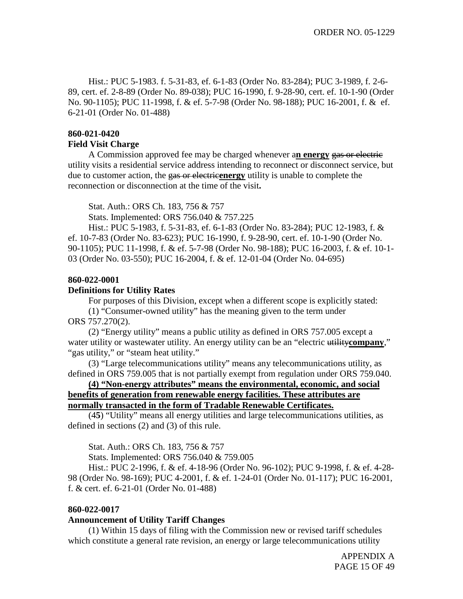Hist.: PUC 5-1983. f. 5-31-83, ef. 6-1-83 (Order No. 83-284); PUC 3-1989, f. 2-6- 89, cert. ef. 2-8-89 (Order No. 89-038); PUC 16-1990, f. 9-28-90, cert. ef. 10-1-90 (Order No. 90-1105); PUC 11-1998, f. & ef. 5-7-98 (Order No. 98-188); PUC 16-2001, f. & ef. 6-21-01 (Order No. 01-488)

## **860-021-0420**

### **Field Visit Charge**

A Commission approved fee may be charged whenever a**n energy** gas or electric utility visits a residential service address intending to reconnect or disconnect service, but due to customer action, the gas or electric**energy** utility is unable to complete the reconnection or disconnection at the time of the visit**.**

Stat. Auth.: ORS Ch. 183, 756 & 757

Stats. Implemented: ORS 756.040 & 757.225

Hist.: PUC 5-1983, f. 5-31-83, ef. 6-1-83 (Order No. 83-284); PUC 12-1983, f. & ef. 10-7-83 (Order No. 83-623); PUC 16-1990, f. 9-28-90, cert. ef. 10-1-90 (Order No. 90-1105); PUC 11-1998, f. & ef. 5-7-98 (Order No. 98-188); PUC 16-2003, f. & ef. 10-1- 03 (Order No. 03-550); PUC 16-2004, f. & ef. 12-01-04 (Order No. 04-695)

## **860-022-0001**

## **Definitions for Utility Rates**

For purposes of this Division, except when a different scope is explicitly stated: (1) "Consumer-owned utility" has the meaning given to the term under

ORS 757.270(2).

(2) "Energy utility" means a public utility as defined in ORS 757.005 except a water utility or wastewater utility. An energy utility can be an "electric utility company," "gas utility," or "steam heat utility."

(3) "Large telecommunications utility" means any telecommunications utility, as defined in ORS 759.005 that is not partially exempt from regulation under ORS 759.040.

**(4) "Non-energy attributes" means the environmental, economic, and social benefits of generation from renewable energy facilities. These attributes are normally transacted in the form of Tradable Renewable Certificates.**

(4**5**) "Utility" means all energy utilities and large telecommunications utilities, as defined in sections (2) and (3) of this rule.

Stat. Auth.: ORS Ch. 183, 756 & 757

Stats. Implemented: ORS 756.040 & 759.005

Hist.: PUC 2-1996, f. & ef. 4-18-96 (Order No. 96-102); PUC 9-1998, f. & ef. 4-28- 98 (Order No. 98-169); PUC 4-2001, f. & ef. 1-24-01 (Order No. 01-117); PUC 16-2001, f. & cert. ef. 6-21-01 (Order No. 01-488)

## **860-022-0017**

## **Announcement of Utility Tariff Changes**

(1) Within 15 days of filing with the Commission new or revised tariff schedules which constitute a general rate revision, an energy or large telecommunications utility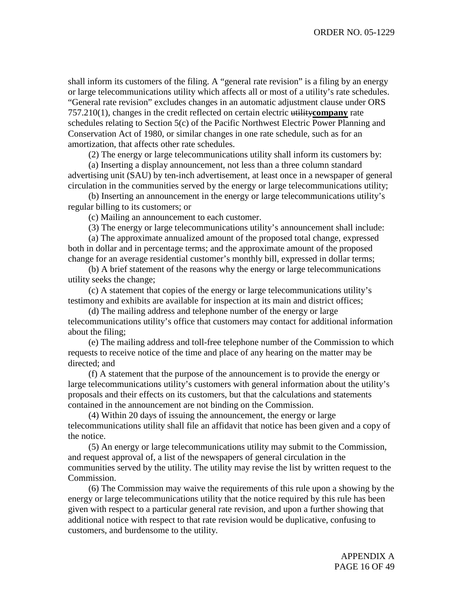shall inform its customers of the filing. A "general rate revision" is a filing by an energy or large telecommunications utility which affects all or most of a utility's rate schedules. "General rate revision" excludes changes in an automatic adjustment clause under ORS 757.210(1), changes in the credit reflected on certain electric utility**company** rate schedules relating to Section 5(c) of the Pacific Northwest Electric Power Planning and Conservation Act of 1980, or similar changes in one rate schedule, such as for an amortization, that affects other rate schedules.

(2) The energy or large telecommunications utility shall inform its customers by:

(a) Inserting a display announcement, not less than a three column standard advertising unit (SAU) by ten-inch advertisement, at least once in a newspaper of general circulation in the communities served by the energy or large telecommunications utility;

(b) Inserting an announcement in the energy or large telecommunications utility's regular billing to its customers; or

(c) Mailing an announcement to each customer.

(3) The energy or large telecommunications utility's announcement shall include:

(a) The approximate annualized amount of the proposed total change, expressed both in dollar and in percentage terms; and the approximate amount of the proposed change for an average residential customer's monthly bill, expressed in dollar terms;

(b) A brief statement of the reasons why the energy or large telecommunications utility seeks the change;

(c) A statement that copies of the energy or large telecommunications utility's testimony and exhibits are available for inspection at its main and district offices;

(d) The mailing address and telephone number of the energy or large telecommunications utility's office that customers may contact for additional information about the filing;

(e) The mailing address and toll-free telephone number of the Commission to which requests to receive notice of the time and place of any hearing on the matter may be directed; and

(f) A statement that the purpose of the announcement is to provide the energy or large telecommunications utility's customers with general information about the utility's proposals and their effects on its customers, but that the calculations and statements contained in the announcement are not binding on the Commission.

(4) Within 20 days of issuing the announcement, the energy or large telecommunications utility shall file an affidavit that notice has been given and a copy of the notice.

(5) An energy or large telecommunications utility may submit to the Commission, and request approval of, a list of the newspapers of general circulation in the communities served by the utility. The utility may revise the list by written request to the Commission.

(6) The Commission may waive the requirements of this rule upon a showing by the energy or large telecommunications utility that the notice required by this rule has been given with respect to a particular general rate revision, and upon a further showing that additional notice with respect to that rate revision would be duplicative, confusing to customers, and burdensome to the utility.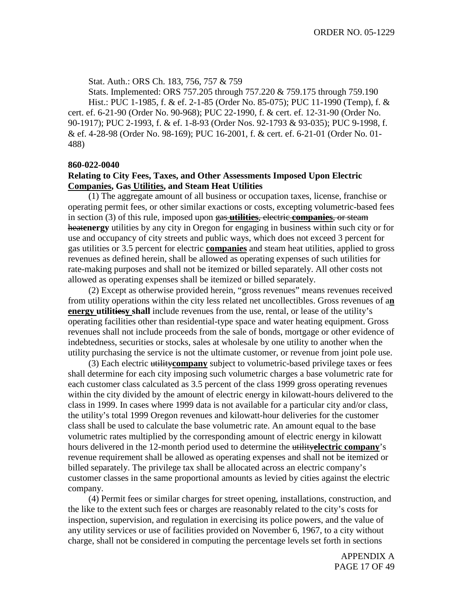Stat. Auth.: ORS Ch. 183, 756, 757 & 759

Stats. Implemented: ORS 757.205 through 757.220 & 759.175 through 759.190 Hist.: PUC 1-1985, f. & ef. 2-1-85 (Order No. 85-075); PUC 11-1990 (Temp), f. & cert. ef. 6-21-90 (Order No. 90-968); PUC 22-1990, f. & cert. ef. 12-31-90 (Order No. 90-1917); PUC 2-1993, f. & ef. 1-8-93 (Order Nos. 92-1793 & 93-035); PUC 9-1998, f. & ef. 4-28-98 (Order No. 98-169); PUC 16-2001, f. & cert. ef. 6-21-01 (Order No. 01- 488)

#### **860-022-0040**

## **Relating to City Fees, Taxes, and Other Assessments Imposed Upon Electric Companies, Gas Utilities, and Steam Heat Utilities**

(1) The aggregate amount of all business or occupation taxes, license, franchise or operating permit fees, or other similar exactions or costs, excepting volumetric-based fees in section (3) of this rule, imposed upon gas **utilities**, electric **companies**, or steam heat**energy** utilities by any city in Oregon for engaging in business within such city or for use and occupancy of city streets and public ways, which does not exceed 3 percent for gas utilities or 3.5 percent for electric **companies** and steam heat utilities, applied to gross revenues as defined herein, shall be allowed as operating expenses of such utilities for rate-making purposes and shall not be itemized or billed separately. All other costs not allowed as operating expenses shall be itemized or billed separately.

(2) Except as otherwise provided herein, "gross revenues" means revenues received from utility operations within the city less related net uncollectibles. Gross revenues of a**n energy utilitiesy shall** include revenues from the use, rental, or lease of the utility's operating facilities other than residential-type space and water heating equipment. Gross revenues shall not include proceeds from the sale of bonds, mortgage or other evidence of indebtedness, securities or stocks, sales at wholesale by one utility to another when the utility purchasing the service is not the ultimate customer, or revenue from joint pole use.

(3) Each electric utility**company** subject to volumetric-based privilege taxes or fees shall determine for each city imposing such volumetric charges a base volumetric rate for each customer class calculated as 3.5 percent of the class 1999 gross operating revenues within the city divided by the amount of electric energy in kilowatt-hours delivered to the class in 1999. In cases where 1999 data is not available for a particular city and/or class, the utility's total 1999 Oregon revenues and kilowatt-hour deliveries for the customer class shall be used to calculate the base volumetric rate. An amount equal to the base volumetric rates multiplied by the corresponding amount of electric energy in kilowatt hours delivered in the 12-month period used to determine the utility**electric company**'s revenue requirement shall be allowed as operating expenses and shall not be itemized or billed separately. The privilege tax shall be allocated across an electric company's customer classes in the same proportional amounts as levied by cities against the electric company.

(4) Permit fees or similar charges for street opening, installations, construction, and the like to the extent such fees or charges are reasonably related to the city's costs for inspection, supervision, and regulation in exercising its police powers, and the value of any utility services or use of facilities provided on November 6, 1967, to a city without charge, shall not be considered in computing the percentage levels set forth in sections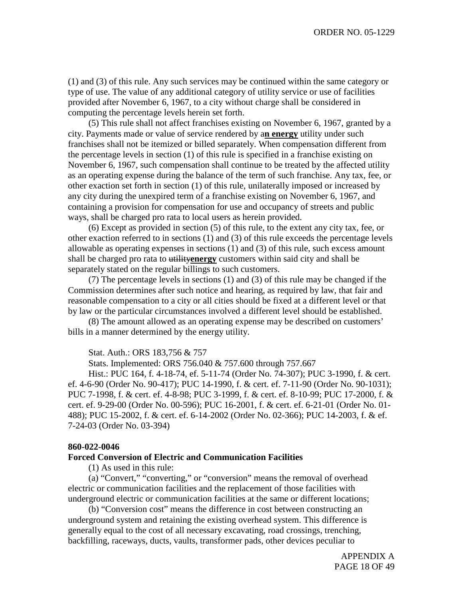(1) and (3) of this rule. Any such services may be continued within the same category or type of use. The value of any additional category of utility service or use of facilities provided after November 6, 1967, to a city without charge shall be considered in computing the percentage levels herein set forth.

(5) This rule shall not affect franchises existing on November 6, 1967, granted by a city. Payments made or value of service rendered by a**n energy** utility under such franchises shall not be itemized or billed separately. When compensation different from the percentage levels in section (1) of this rule is specified in a franchise existing on November 6, 1967, such compensation shall continue to be treated by the affected utility as an operating expense during the balance of the term of such franchise. Any tax, fee, or other exaction set forth in section (1) of this rule, unilaterally imposed or increased by any city during the unexpired term of a franchise existing on November 6, 1967, and containing a provision for compensation for use and occupancy of streets and public ways, shall be charged pro rata to local users as herein provided.

(6) Except as provided in section (5) of this rule, to the extent any city tax, fee, or other exaction referred to in sections (1) and (3) of this rule exceeds the percentage levels allowable as operating expenses in sections (1) and (3) of this rule, such excess amount shall be charged pro rata to utility**energy** customers within said city and shall be separately stated on the regular billings to such customers.

(7) The percentage levels in sections (1) and (3) of this rule may be changed if the Commission determines after such notice and hearing, as required by law, that fair and reasonable compensation to a city or all cities should be fixed at a different level or that by law or the particular circumstances involved a different level should be established.

(8) The amount allowed as an operating expense may be described on customers' bills in a manner determined by the energy utility.

#### Stat. Auth.: ORS 183,756 & 757

Stats. Implemented: ORS 756.040 & 757.600 through 757.667

Hist.: PUC 164, f. 4-18-74, ef. 5-11-74 (Order No. 74-307); PUC 3-1990, f. & cert. ef. 4-6-90 (Order No. 90-417); PUC 14-1990, f. & cert. ef. 7-11-90 (Order No. 90-1031); PUC 7-1998, f. & cert. ef. 4-8-98; PUC 3-1999, f. & cert. ef. 8-10-99; PUC 17-2000, f. & cert. ef. 9-29-00 (Order No. 00-596); PUC 16-2001, f. & cert. ef. 6-21-01 (Order No. 01- 488); PUC 15-2002, f. & cert. ef. 6-14-2002 (Order No. 02-366); PUC 14-2003, f. & ef. 7-24-03 (Order No. 03-394)

#### **860-022-0046**

#### **Forced Conversion of Electric and Communication Facilities**

(1) As used in this rule:

(a) "Convert," "converting," or "conversion" means the removal of overhead electric or communication facilities and the replacement of those facilities with underground electric or communication facilities at the same or different locations;

(b) "Conversion cost" means the difference in cost between constructing an underground system and retaining the existing overhead system. This difference is generally equal to the cost of all necessary excavating, road crossings, trenching, backfilling, raceways, ducts, vaults, transformer pads, other devices peculiar to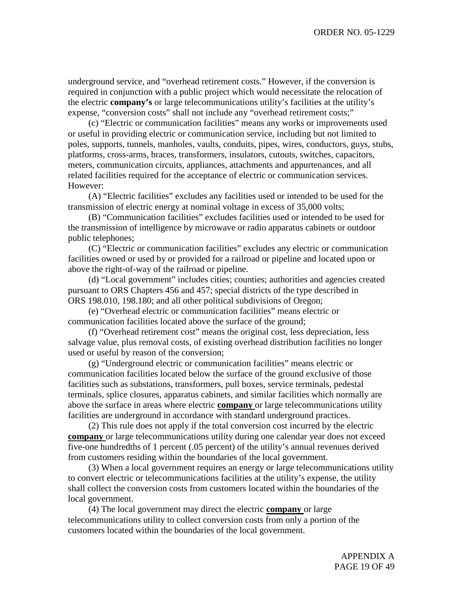underground service, and "overhead retirement costs." However, if the conversion is required in conjunction with a public project which would necessitate the relocation of the electric **company's** or large telecommunications utility's facilities at the utility's expense, "conversion costs" shall not include any "overhead retirement costs;"

(c) "Electric or communication facilities" means any works or improvements used or useful in providing electric or communication service, including but not limited to poles, supports, tunnels, manholes, vaults, conduits, pipes, wires, conductors, guys, stubs, platforms, cross-arms, braces, transformers, insulators, cutouts, switches, capacitors, meters, communication circuits, appliances, attachments and appurtenances, and all related facilities required for the acceptance of electric or communication services. However:

(A) "Electric facilities" excludes any facilities used or intended to be used for the transmission of electric energy at nominal voltage in excess of 35,000 volts;

(B) "Communication facilities" excludes facilities used or intended to be used for the transmission of intelligence by microwave or radio apparatus cabinets or outdoor public telephones;

(C) "Electric or communication facilities" excludes any electric or communication facilities owned or used by or provided for a railroad or pipeline and located upon or above the right-of-way of the railroad or pipeline.

(d) "Local government" includes cities; counties; authorities and agencies created pursuant to ORS Chapters 456 and 457; special districts of the type described in ORS 198.010, 198.180; and all other political subdivisions of Oregon;

(e) "Overhead electric or communication facilities" means electric or communication facilities located above the surface of the ground;

(f) "Overhead retirement cost" means the original cost, less depreciation, less salvage value, plus removal costs, of existing overhead distribution facilities no longer used or useful by reason of the conversion;

(g) "Underground electric or communication facilities" means electric or communication facilities located below the surface of the ground exclusive of those facilities such as substations, transformers, pull boxes, service terminals, pedestal terminals, splice closures, apparatus cabinets, and similar facilities which normally are above the surface in areas where electric **company** or large telecommunications utility facilities are underground in accordance with standard underground practices.

(2) This rule does not apply if the total conversion cost incurred by the electric **company** or large telecommunications utility during one calendar year does not exceed five-one hundredths of 1 percent (.05 percent) of the utility's annual revenues derived from customers residing within the boundaries of the local government.

(3) When a local government requires an energy or large telecommunications utility to convert electric or telecommunications facilities at the utility's expense, the utility shall collect the conversion costs from customers located within the boundaries of the local government.

(4) The local government may direct the electric **company** or large telecommunications utility to collect conversion costs from only a portion of the customers located within the boundaries of the local government.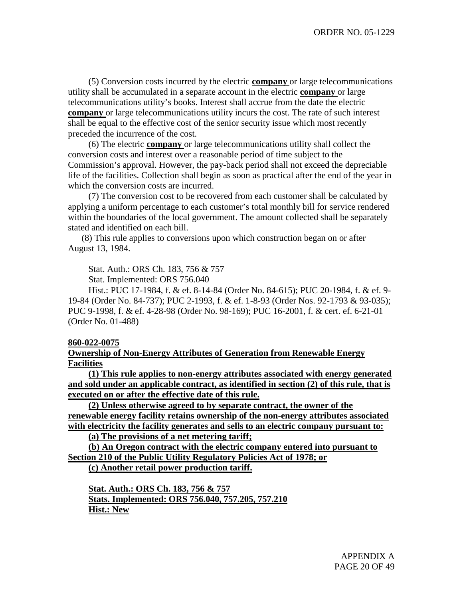(5) Conversion costs incurred by the electric **company** or large telecommunications utility shall be accumulated in a separate account in the electric **company** or large telecommunications utility's books. Interest shall accrue from the date the electric **company** or large telecommunications utility incurs the cost. The rate of such interest shall be equal to the effective cost of the senior security issue which most recently preceded the incurrence of the cost.

(6) The electric **company** or large telecommunications utility shall collect the conversion costs and interest over a reasonable period of time subject to the Commission's approval. However, the pay-back period shall not exceed the depreciable life of the facilities. Collection shall begin as soon as practical after the end of the year in which the conversion costs are incurred.

(7) The conversion cost to be recovered from each customer shall be calculated by applying a uniform percentage to each customer's total monthly bill for service rendered within the boundaries of the local government. The amount collected shall be separately stated and identified on each bill.

(8) This rule applies to conversions upon which construction began on or after August 13, 1984.

Stat. Auth.: ORS Ch. 183, 756 & 757

Stat. Implemented: ORS 756.040

Hist.: PUC 17-1984, f. & ef. 8-14-84 (Order No. 84-615); PUC 20-1984, f. & ef. 9- 19-84 (Order No. 84-737); PUC 2-1993, f. & ef. 1-8-93 (Order Nos. 92-1793 & 93-035); PUC 9-1998, f. & ef. 4-28-98 (Order No. 98-169); PUC 16-2001, f. & cert. ef. 6-21-01 (Order No. 01-488)

## **860-022-0075**

**Ownership of Non-Energy Attributes of Generation from Renewable Energy Facilities**

**(1) This rule applies to non-energy attributes associated with energy generated and sold under an applicable contract, as identified in section (2) of this rule, that is executed on or after the effective date of this rule.**

**(2) Unless otherwise agreed to by separate contract, the owner of the renewable energy facility retains ownership of the non-energy attributes associated with electricity the facility generates and sells to an electric company pursuant to:**

**(a) The provisions of a net metering tariff;**

**(b) An Oregon contract with the electric company entered into pursuant to Section 210 of the Public Utility Regulatory Policies Act of 1978; or**

**(c) Another retail power production tariff.**

**Stat. Auth.: ORS Ch. 183, 756 & 757 Stats. Implemented: ORS 756.040, 757.205, 757.210 Hist.: New**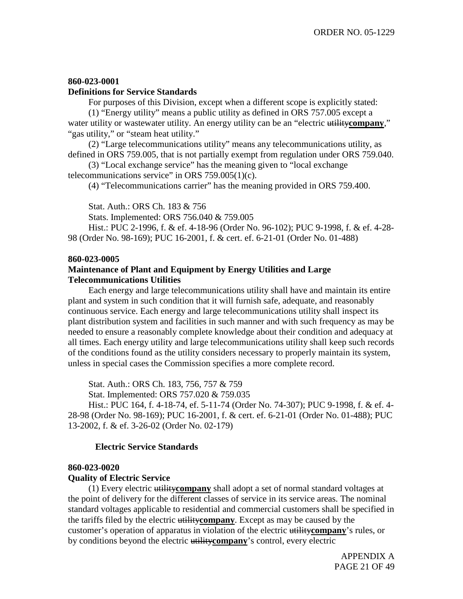## **860-023-0001**

### **Definitions for Service Standards**

For purposes of this Division, except when a different scope is explicitly stated: (1) "Energy utility" means a public utility as defined in ORS 757.005 except a water utility or wastewater utility. An energy utility can be an "electric utility company,"

"gas utility," or "steam heat utility."

(2) "Large telecommunications utility" means any telecommunications utility, as defined in ORS 759.005, that is not partially exempt from regulation under ORS 759.040.

(3) "Local exchange service" has the meaning given to "local exchange telecommunications service" in ORS  $759.005(1)(c)$ .

(4) "Telecommunications carrier" has the meaning provided in ORS 759.400.

Stat. Auth.: ORS Ch. 183 & 756

Stats. Implemented: ORS 756.040 & 759.005

Hist.: PUC 2-1996, f. & ef. 4-18-96 (Order No. 96-102); PUC 9-1998, f. & ef. 4-28- 98 (Order No. 98-169); PUC 16-2001, f. & cert. ef. 6-21-01 (Order No. 01-488)

#### **860-023-0005**

## **Maintenance of Plant and Equipment by Energy Utilities and Large Telecommunications Utilities**

Each energy and large telecommunications utility shall have and maintain its entire plant and system in such condition that it will furnish safe, adequate, and reasonably continuous service. Each energy and large telecommunications utility shall inspect its plant distribution system and facilities in such manner and with such frequency as may be needed to ensure a reasonably complete knowledge about their condition and adequacy at all times. Each energy utility and large telecommunications utility shall keep such records of the conditions found as the utility considers necessary to properly maintain its system, unless in special cases the Commission specifies a more complete record.

Stat. Auth.: ORS Ch. 183, 756, 757 & 759

Stat. Implemented: ORS 757.020 & 759.035

Hist.: PUC 164, f. 4-18-74, ef. 5-11-74 (Order No. 74-307); PUC 9-1998, f. & ef. 4- 28-98 (Order No. 98-169); PUC 16-2001, f. & cert. ef. 6-21-01 (Order No. 01-488); PUC 13-2002, f. & ef. 3-26-02 (Order No. 02-179)

## **Electric Service Standards**

## **860-023-0020**

## **Quality of Electric Service**

(1) Every electric utility**company** shall adopt a set of normal standard voltages at the point of delivery for the different classes of service in its service areas. The nominal standard voltages applicable to residential and commercial customers shall be specified in the tariffs filed by the electric utility**company**. Except as may be caused by the customer's operation of apparatus in violation of the electric utility**company**'s rules, or by conditions beyond the electric utility**company**'s control, every electric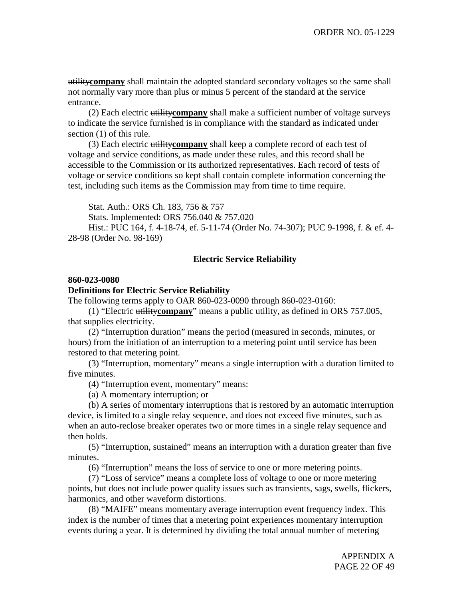utility**company** shall maintain the adopted standard secondary voltages so the same shall not normally vary more than plus or minus 5 percent of the standard at the service entrance.

(2) Each electric utility**company** shall make a sufficient number of voltage surveys to indicate the service furnished is in compliance with the standard as indicated under section (1) of this rule.

(3) Each electric utility**company** shall keep a complete record of each test of voltage and service conditions, as made under these rules, and this record shall be accessible to the Commission or its authorized representatives. Each record of tests of voltage or service conditions so kept shall contain complete information concerning the test, including such items as the Commission may from time to time require.

Stat. Auth.: ORS Ch. 183, 756 & 757

Stats. Implemented: ORS 756.040 & 757.020

Hist.: PUC 164, f. 4-18-74, ef. 5-11-74 (Order No. 74-307); PUC 9-1998, f. & ef. 4- 28-98 (Order No. 98-169)

## **Electric Service Reliability**

#### **860-023-0080**

## **Definitions for Electric Service Reliability**

The following terms apply to OAR 860-023-0090 through 860-023-0160:

(1) "Electric utility**company**" means a public utility, as defined in ORS 757.005, that supplies electricity.

(2) "Interruption duration" means the period (measured in seconds, minutes, or hours) from the initiation of an interruption to a metering point until service has been restored to that metering point.

(3) "Interruption, momentary" means a single interruption with a duration limited to five minutes.

(4) "Interruption event, momentary" means:

(a) A momentary interruption; or

(b) A series of momentary interruptions that is restored by an automatic interruption device, is limited to a single relay sequence, and does not exceed five minutes, such as when an auto-reclose breaker operates two or more times in a single relay sequence and then holds.

(5) "Interruption, sustained" means an interruption with a duration greater than five minutes.

(6) "Interruption" means the loss of service to one or more metering points.

(7) "Loss of service" means a complete loss of voltage to one or more metering points, but does not include power quality issues such as transients, sags, swells, flickers, harmonics, and other waveform distortions.

(8) "MAIFE" means momentary average interruption event frequency index. This index is the number of times that a metering point experiences momentary interruption events during a year. It is determined by dividing the total annual number of metering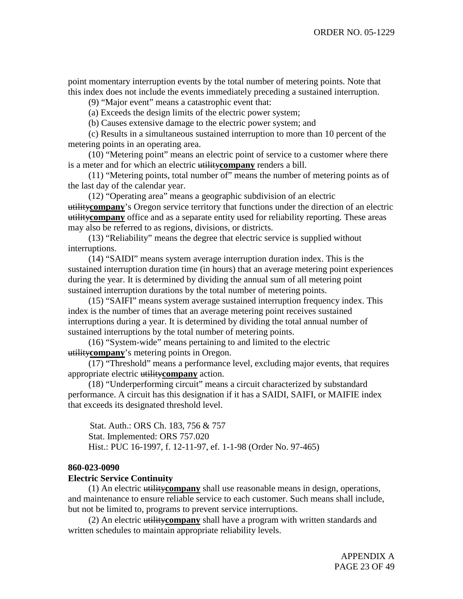point momentary interruption events by the total number of metering points. Note that this index does not include the events immediately preceding a sustained interruption.

(9) "Major event" means a catastrophic event that:

(a) Exceeds the design limits of the electric power system;

(b) Causes extensive damage to the electric power system; and

(c) Results in a simultaneous sustained interruption to more than 10 percent of the metering points in an operating area.

(10) "Metering point" means an electric point of service to a customer where there is a meter and for which an electric utility**company** renders a bill.

(11) "Metering points, total number of" means the number of metering points as of the last day of the calendar year.

(12) "Operating area" means a geographic subdivision of an electric utility**company**'s Oregon service territory that functions under the direction of an electric utility**company** office and as a separate entity used for reliability reporting. These areas may also be referred to as regions, divisions, or districts.

(13) "Reliability" means the degree that electric service is supplied without interruptions.

(14) "SAIDI" means system average interruption duration index. This is the sustained interruption duration time (in hours) that an average metering point experiences during the year. It is determined by dividing the annual sum of all metering point sustained interruption durations by the total number of metering points.

(15) "SAIFI" means system average sustained interruption frequency index. This index is the number of times that an average metering point receives sustained interruptions during a year. It is determined by dividing the total annual number of sustained interruptions by the total number of metering points.

(16) "System-wide" means pertaining to and limited to the electric utility**company**'s metering points in Oregon.

(17) "Threshold" means a performance level, excluding major events, that requires appropriate electric utility**company** action.

(18) "Underperforming circuit" means a circuit characterized by substandard performance. A circuit has this designation if it has a SAIDI, SAIFI, or MAIFIE index that exceeds its designated threshold level.

Stat. Auth.: ORS Ch. 183, 756 & 757 Stat. Implemented: ORS 757.020 Hist.: PUC 16-1997, f. 12-11-97, ef. 1-1-98 (Order No. 97-465)

#### **860-023-0090**

## **Electric Service Continuity**

(1) An electric utility**company** shall use reasonable means in design, operations, and maintenance to ensure reliable service to each customer. Such means shall include, but not be limited to, programs to prevent service interruptions.

(2) An electric utility**company** shall have a program with written standards and written schedules to maintain appropriate reliability levels.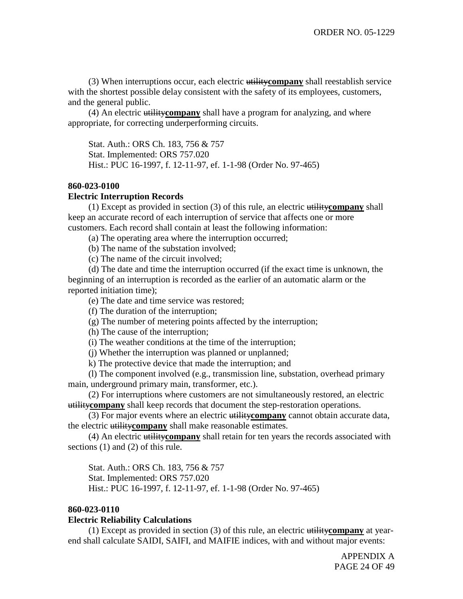(3) When interruptions occur, each electric utility**company** shall reestablish service with the shortest possible delay consistent with the safety of its employees, customers, and the general public.

(4) An electric utility**company** shall have a program for analyzing, and where appropriate, for correcting underperforming circuits.

Stat. Auth.: ORS Ch. 183, 756 & 757 Stat. Implemented: ORS 757.020 Hist.: PUC 16-1997, f. 12-11-97, ef. 1-1-98 (Order No. 97-465)

## **860-023-0100**

## **Electric Interruption Records**

(1) Except as provided in section (3) of this rule, an electric utility**company** shall keep an accurate record of each interruption of service that affects one or more customers. Each record shall contain at least the following information:

(a) The operating area where the interruption occurred;

(b) The name of the substation involved;

(c) The name of the circuit involved;

(d) The date and time the interruption occurred (if the exact time is unknown, the beginning of an interruption is recorded as the earlier of an automatic alarm or the reported initiation time);

(e) The date and time service was restored;

(f) The duration of the interruption;

(g) The number of metering points affected by the interruption;

(h) The cause of the interruption;

(i) The weather conditions at the time of the interruption;

(j) Whether the interruption was planned or unplanned;

k) The protective device that made the interruption; and

(l) The component involved (e.g., transmission line, substation, overhead primary main, underground primary main, transformer, etc.).

(2) For interruptions where customers are not simultaneously restored, an electric utility**company** shall keep records that document the step-restoration operations.

(3) For major events where an electric utility**company** cannot obtain accurate data, the electric utility**company** shall make reasonable estimates.

(4) An electric utility**company** shall retain for ten years the records associated with sections (1) and (2) of this rule.

Stat. Auth.: ORS Ch. 183, 756 & 757 Stat. Implemented: ORS 757.020 Hist.: PUC 16-1997, f. 12-11-97, ef. 1-1-98 (Order No. 97-465)

#### **860-023-0110**

## **Electric Reliability Calculations**

(1) Except as provided in section (3) of this rule, an electric utility**company** at yearend shall calculate SAIDI, SAIFI, and MAIFIE indices, with and without major events: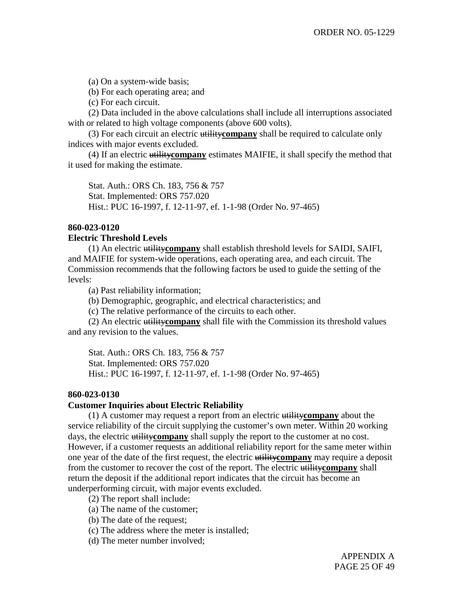(a) On a system-wide basis;

(b) For each operating area; and

(c) For each circuit.

(2) Data included in the above calculations shall include all interruptions associated with or related to high voltage components (above 600 volts).

(3) For each circuit an electric utility**company** shall be required to calculate only indices with major events excluded.

(4) If an electric utility**company** estimates MAIFIE, it shall specify the method that it used for making the estimate.

Stat. Auth.: ORS Ch. 183, 756 & 757 Stat. Implemented: ORS 757.020 Hist.: PUC 16-1997, f. 12-11-97, ef. 1-1-98 (Order No. 97-465)

## **860-023-0120**

## **Electric Threshold Levels**

(1) An electric utility**company** shall establish threshold levels for SAIDI, SAIFI, and MAIFIE for system-wide operations, each operating area, and each circuit. The Commission recommends that the following factors be used to guide the setting of the levels:

(a) Past reliability information;

(b) Demographic, geographic, and electrical characteristics; and

(c) The relative performance of the circuits to each other.

(2) An electric utility**company** shall file with the Commission its threshold values and any revision to the values.

Stat. Auth.: ORS Ch. 183, 756 & 757 Stat. Implemented: ORS 757.020 Hist.: PUC 16-1997, f. 12-11-97, ef. 1-1-98 (Order No. 97-465)

#### **860-023-0130**

## **Customer Inquiries about Electric Reliability**

(1) A customer may request a report from an electric utility**company** about the service reliability of the circuit supplying the customer's own meter. Within 20 working days, the electric utility**company** shall supply the report to the customer at no cost. However, if a customer requests an additional reliability report for the same meter within one year of the date of the first request, the electric utility**company** may require a deposit from the customer to recover the cost of the report. The electric utility**company** shall return the deposit if the additional report indicates that the circuit has become an underperforming circuit, with major events excluded.

(2) The report shall include:

- (a) The name of the customer;
- (b) The date of the request;
- (c) The address where the meter is installed;
- (d) The meter number involved;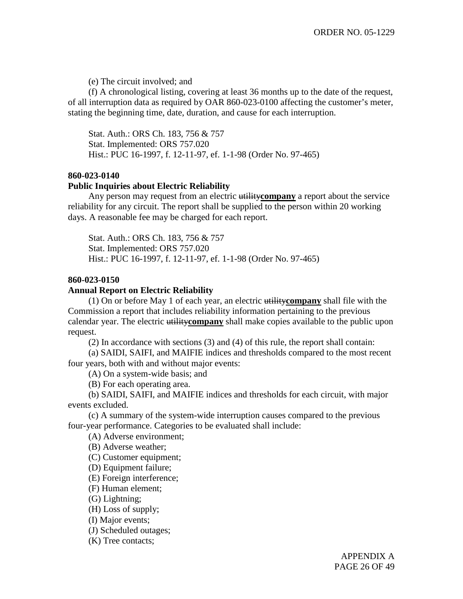(e) The circuit involved; and

(f) A chronological listing, covering at least 36 months up to the date of the request, of all interruption data as required by OAR 860-023-0100 affecting the customer's meter, stating the beginning time, date, duration, and cause for each interruption.

Stat. Auth.: ORS Ch. 183, 756 & 757 Stat. Implemented: ORS 757.020 Hist.: PUC 16-1997, f. 12-11-97, ef. 1-1-98 (Order No. 97-465)

## **860-023-0140**

#### **Public Inquiries about Electric Reliability**

Any person may request from an electric utility**company** a report about the service reliability for any circuit. The report shall be supplied to the person within 20 working days. A reasonable fee may be charged for each report.

Stat. Auth.: ORS Ch. 183, 756 & 757 Stat. Implemented: ORS 757.020 Hist.: PUC 16-1997, f. 12-11-97, ef. 1-1-98 (Order No. 97-465)

## **860-023-0150**

## **Annual Report on Electric Reliability**

(1) On or before May 1 of each year, an electric utility**company** shall file with the Commission a report that includes reliability information pertaining to the previous calendar year. The electric utility**company** shall make copies available to the public upon request.

(2) In accordance with sections (3) and (4) of this rule, the report shall contain:

(a) SAIDI, SAIFI, and MAIFIE indices and thresholds compared to the most recent four years, both with and without major events:

(A) On a system-wide basis; and

(B) For each operating area.

(b) SAIDI, SAIFI, and MAIFIE indices and thresholds for each circuit, with major events excluded.

(c) A summary of the system-wide interruption causes compared to the previous four-year performance. Categories to be evaluated shall include:

(A) Adverse environment;

(B) Adverse weather;

(C) Customer equipment;

(D) Equipment failure;

(E) Foreign interference;

(F) Human element;

(G) Lightning;

(H) Loss of supply;

(I) Major events;

(J) Scheduled outages;

(K) Tree contacts;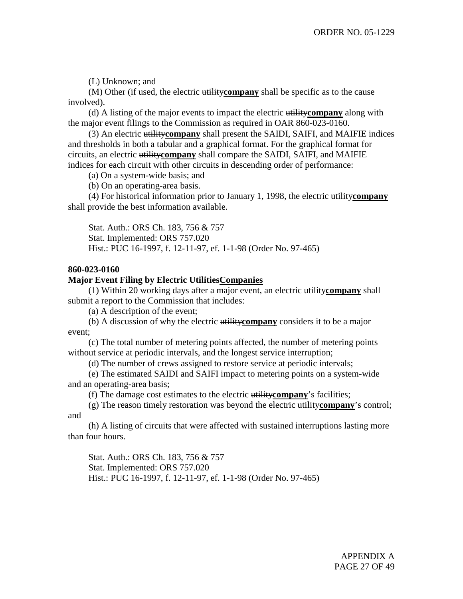(L) Unknown; and

(M) Other (if used, the electric utility**company** shall be specific as to the cause involved).

(d) A listing of the major events to impact the electric utility**company** along with the major event filings to the Commission as required in OAR 860-023-0160.

(3) An electric utility**company** shall present the SAIDI, SAIFI, and MAIFIE indices and thresholds in both a tabular and a graphical format. For the graphical format for circuits, an electric utility**company** shall compare the SAIDI, SAIFI, and MAIFIE indices for each circuit with other circuits in descending order of performance:

(a) On a system-wide basis; and

(b) On an operating-area basis.

(4) For historical information prior to January 1, 1998, the electric utility**company** shall provide the best information available.

Stat. Auth.: ORS Ch. 183, 756 & 757 Stat. Implemented: ORS 757.020 Hist.: PUC 16-1997, f. 12-11-97, ef. 1-1-98 (Order No. 97-465)

## **860-023-0160**

#### **Major Event Filing by Electric UtilitiesCompanies**

(1) Within 20 working days after a major event, an electric utility**company** shall submit a report to the Commission that includes:

(a) A description of the event;

(b) A discussion of why the electric utility**company** considers it to be a major event;

(c) The total number of metering points affected, the number of metering points without service at periodic intervals, and the longest service interruption;

(d) The number of crews assigned to restore service at periodic intervals;

(e) The estimated SAIDI and SAIFI impact to metering points on a system-wide and an operating-area basis;

(f) The damage cost estimates to the electric utility**company**'s facilities;

(g) The reason timely restoration was beyond the electric utility**company**'s control; and

(h) A listing of circuits that were affected with sustained interruptions lasting more than four hours.

Stat. Auth.: ORS Ch. 183, 756 & 757 Stat. Implemented: ORS 757.020 Hist.: PUC 16-1997, f. 12-11-97, ef. 1-1-98 (Order No. 97-465)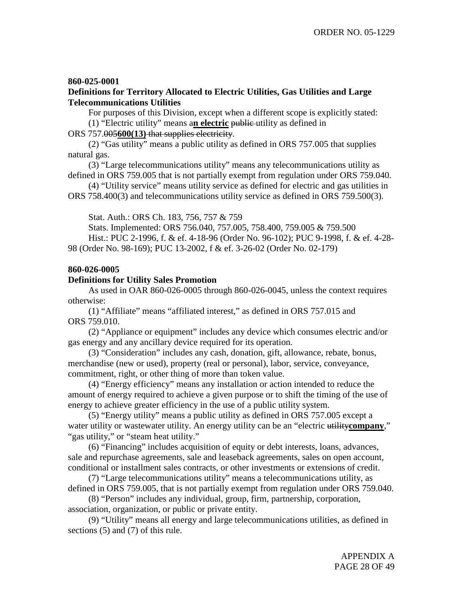## **860-025-0001**

## **Definitions for Territory Allocated to Electric Utilities, Gas Utilities and Large Telecommunications Utilities**

For purposes of this Division, except when a different scope is explicitly stated: (1) "Electric utility" means a**n electric** public utility as defined in

ORS 757.005**600(13)** that supplies electricity.

(2) "Gas utility" means a public utility as defined in ORS 757.005 that supplies natural gas.

(3) "Large telecommunications utility" means any telecommunications utility as defined in ORS 759.005 that is not partially exempt from regulation under ORS 759.040.

(4) "Utility service" means utility service as defined for electric and gas utilities in ORS 758.400(3) and telecommunications utility service as defined in ORS 759.500(3).

Stat. Auth.: ORS Ch. 183, 756, 757 & 759

Stats. Implemented: ORS 756.040, 757.005, 758.400, 759.005 & 759.500 Hist.: PUC 2-1996, f. & ef. 4-18-96 (Order No. 96-102); PUC 9-1998, f. & ef. 4-28- 98 (Order No. 98-169); PUC 13-2002, f & ef. 3-26-02 (Order No. 02-179)

## **860-026-0005**

## **Definitions for Utility Sales Promotion**

As used in OAR 860-026-0005 through 860-026-0045, unless the context requires otherwise:

(1) "Affiliate" means "affiliated interest," as defined in ORS 757.015 and ORS 759.010.

(2) "Appliance or equipment" includes any device which consumes electric and/or gas energy and any ancillary device required for its operation.

(3) "Consideration" includes any cash, donation, gift, allowance, rebate, bonus, merchandise (new or used), property (real or personal), labor, service, conveyance, commitment, right, or other thing of more than token value.

(4) "Energy efficiency" means any installation or action intended to reduce the amount of energy required to achieve a given purpose or to shift the timing of the use of energy to achieve greater efficiency in the use of a public utility system.

(5) "Energy utility" means a public utility as defined in ORS 757.005 except a water utility or wastewater utility. An energy utility can be an "electric utility company," "gas utility," or "steam heat utility."

(6) "Financing" includes acquisition of equity or debt interests, loans, advances, sale and repurchase agreements, sale and leaseback agreements, sales on open account, conditional or installment sales contracts, or other investments or extensions of credit.

(7) "Large telecommunications utility" means a telecommunications utility, as defined in ORS 759.005, that is not partially exempt from regulation under ORS 759.040.

(8) "Person" includes any individual, group, firm, partnership, corporation, association, organization, or public or private entity.

(9) "Utility" means all energy and large telecommunications utilities, as defined in sections (5) and (7) of this rule.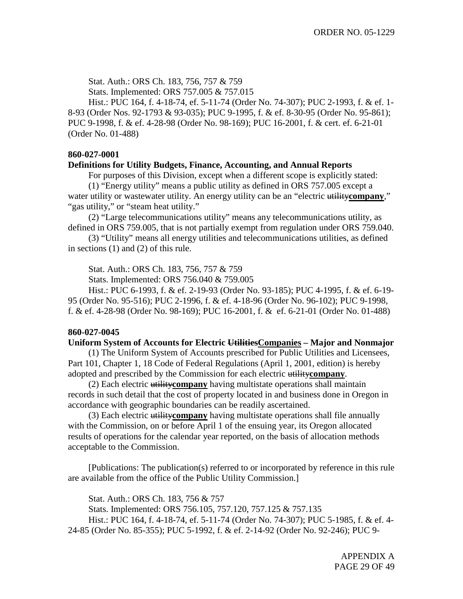Stat. Auth.: ORS Ch. 183, 756, 757 & 759 Stats. Implemented: ORS 757.005 & 757.015

Hist.: PUC 164, f. 4-18-74, ef. 5-11-74 (Order No. 74-307); PUC 2-1993, f. & ef. 1- 8-93 (Order Nos. 92-1793 & 93-035); PUC 9-1995, f. & ef. 8-30-95 (Order No. 95-861); PUC 9-1998, f. & ef. 4-28-98 (Order No. 98-169); PUC 16-2001, f. & cert. ef. 6-21-01 (Order No. 01-488)

## **860-027-0001**

#### **Definitions for Utility Budgets, Finance, Accounting, and Annual Reports**

For purposes of this Division, except when a different scope is explicitly stated:

(1) "Energy utility" means a public utility as defined in ORS 757.005 except a water utility or wastewater utility. An energy utility can be an "electric utility company," "gas utility," or "steam heat utility."

(2) "Large telecommunications utility" means any telecommunications utility, as defined in ORS 759.005, that is not partially exempt from regulation under ORS 759.040.

(3) "Utility" means all energy utilities and telecommunications utilities, as defined in sections (1) and (2) of this rule.

Stat. Auth.: ORS Ch. 183, 756, 757 & 759

Stats. Implemented: ORS 756.040 & 759.005

Hist.: PUC 6-1993, f. & ef. 2-19-93 (Order No. 93-185); PUC 4-1995, f. & ef. 6-19- 95 (Order No. 95-516); PUC 2-1996, f. & ef. 4-18-96 (Order No. 96-102); PUC 9-1998, f. & ef. 4-28-98 (Order No. 98-169); PUC 16-2001, f. & ef. 6-21-01 (Order No. 01-488)

#### **860-027-0045**

#### **Uniform System of Accounts for Electric UtilitiesCompanies – Major and Nonmajor**

(1) The Uniform System of Accounts prescribed for Public Utilities and Licensees, Part 101, Chapter 1, 18 Code of Federal Regulations (April 1, 2001, edition) is hereby adopted and prescribed by the Commission for each electric utility**company**.

(2) Each electric utility**company** having multistate operations shall maintain records in such detail that the cost of property located in and business done in Oregon in accordance with geographic boundaries can be readily ascertained.

(3) Each electric utility**company** having multistate operations shall file annually with the Commission, on or before April 1 of the ensuing year, its Oregon allocated results of operations for the calendar year reported, on the basis of allocation methods acceptable to the Commission.

[Publications: The publication(s) referred to or incorporated by reference in this rule are available from the office of the Public Utility Commission.]

Stat. Auth.: ORS Ch. 183, 756 & 757 Stats. Implemented: ORS 756.105, 757.120, 757.125 & 757.135 Hist.: PUC 164, f. 4-18-74, ef. 5-11-74 (Order No. 74-307); PUC 5-1985, f. & ef. 4- 24-85 (Order No. 85-355); PUC 5-1992, f. & ef. 2-14-92 (Order No. 92-246); PUC 9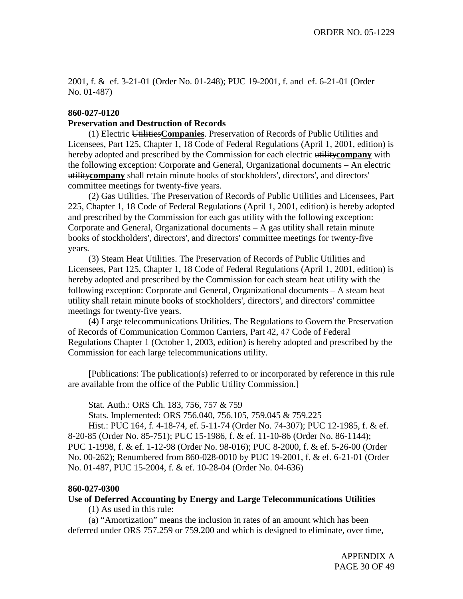2001, f. & ef. 3-21-01 (Order No. 01-248); PUC 19-2001, f. and ef. 6-21-01 (Order No. 01-487)

## **860-027-0120**

## **Preservation and Destruction of Records**

(1) Electric Utilities**Companies**. Preservation of Records of Public Utilities and Licensees, Part 125, Chapter 1, 18 Code of Federal Regulations (April 1, 2001, edition) is hereby adopted and prescribed by the Commission for each electric utility**company** with the following exception: Corporate and General, Organizational documents – An electric utility**company** shall retain minute books of stockholders', directors', and directors' committee meetings for twenty-five years.

(2) Gas Utilities. The Preservation of Records of Public Utilities and Licensees, Part 225, Chapter 1, 18 Code of Federal Regulations (April 1, 2001, edition) is hereby adopted and prescribed by the Commission for each gas utility with the following exception: Corporate and General, Organizational documents – A gas utility shall retain minute books of stockholders', directors', and directors' committee meetings for twenty-five years.

(3) Steam Heat Utilities. The Preservation of Records of Public Utilities and Licensees, Part 125, Chapter 1, 18 Code of Federal Regulations (April 1, 2001, edition) is hereby adopted and prescribed by the Commission for each steam heat utility with the following exception: Corporate and General, Organizational documents – A steam heat utility shall retain minute books of stockholders', directors', and directors' committee meetings for twenty-five years.

(4) Large telecommunications Utilities. The Regulations to Govern the Preservation of Records of Communication Common Carriers, Part 42, 47 Code of Federal Regulations Chapter 1 (October 1, 2003, edition) is hereby adopted and prescribed by the Commission for each large telecommunications utility.

[Publications: The publication(s) referred to or incorporated by reference in this rule are available from the office of the Public Utility Commission.]

Stat. Auth.: ORS Ch. 183, 756, 757 & 759

Stats. Implemented: ORS 756.040, 756.105, 759.045 & 759.225

Hist.: PUC 164, f. 4-18-74, ef. 5-11-74 (Order No. 74-307); PUC 12-1985, f. & ef. 8-20-85 (Order No. 85-751); PUC 15-1986, f. & ef. 11-10-86 (Order No. 86-1144); PUC 1-1998, f. & ef. 1-12-98 (Order No. 98-016); PUC 8-2000, f. & ef. 5-26-00 (Order No. 00-262); Renumbered from 860-028-0010 by PUC 19-2001, f. & ef. 6-21-01 (Order No. 01-487, PUC 15-2004, f. & ef. 10-28-04 (Order No. 04-636)

#### **860-027-0300**

## **Use of Deferred Accounting by Energy and Large Telecommunications Utilities**

(1) As used in this rule:

(a) "Amortization" means the inclusion in rates of an amount which has been deferred under ORS 757.259 or 759.200 and which is designed to eliminate, over time,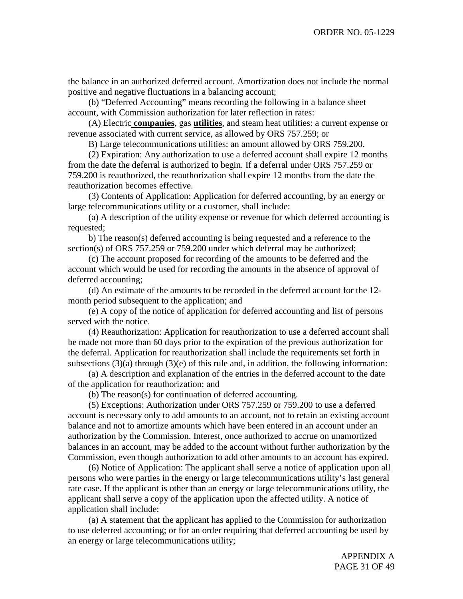the balance in an authorized deferred account. Amortization does not include the normal positive and negative fluctuations in a balancing account;

(b) "Deferred Accounting" means recording the following in a balance sheet account, with Commission authorization for later reflection in rates:

(A) Electric **companies**, gas **utilities**, and steam heat utilities: a current expense or revenue associated with current service, as allowed by ORS 757.259; or

B) Large telecommunications utilities: an amount allowed by ORS 759.200.

(2) Expiration: Any authorization to use a deferred account shall expire 12 months from the date the deferral is authorized to begin. If a deferral under ORS 757.259 or 759.200 is reauthorized, the reauthorization shall expire 12 months from the date the reauthorization becomes effective.

(3) Contents of Application: Application for deferred accounting, by an energy or large telecommunications utility or a customer, shall include:

(a) A description of the utility expense or revenue for which deferred accounting is requested;

b) The reason(s) deferred accounting is being requested and a reference to the section(s) of ORS 757.259 or 759.200 under which deferral may be authorized;

(c) The account proposed for recording of the amounts to be deferred and the account which would be used for recording the amounts in the absence of approval of deferred accounting;

(d) An estimate of the amounts to be recorded in the deferred account for the 12 month period subsequent to the application; and

(e) A copy of the notice of application for deferred accounting and list of persons served with the notice.

(4) Reauthorization: Application for reauthorization to use a deferred account shall be made not more than 60 days prior to the expiration of the previous authorization for the deferral. Application for reauthorization shall include the requirements set forth in subsections  $(3)(a)$  through  $(3)(e)$  of this rule and, in addition, the following information:

(a) A description and explanation of the entries in the deferred account to the date of the application for reauthorization; and

(b) The reason(s) for continuation of deferred accounting.

(5) Exceptions: Authorization under ORS 757.259 or 759.200 to use a deferred account is necessary only to add amounts to an account, not to retain an existing account balance and not to amortize amounts which have been entered in an account under an authorization by the Commission. Interest, once authorized to accrue on unamortized balances in an account, may be added to the account without further authorization by the Commission, even though authorization to add other amounts to an account has expired.

(6) Notice of Application: The applicant shall serve a notice of application upon all persons who were parties in the energy or large telecommunications utility's last general rate case. If the applicant is other than an energy or large telecommunications utility, the applicant shall serve a copy of the application upon the affected utility. A notice of application shall include:

(a) A statement that the applicant has applied to the Commission for authorization to use deferred accounting; or for an order requiring that deferred accounting be used by an energy or large telecommunications utility;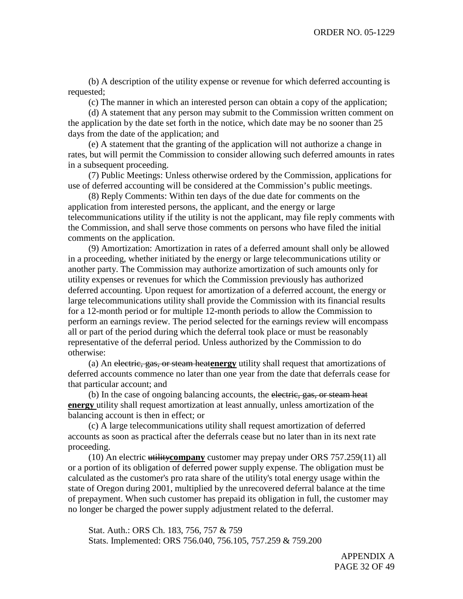(b) A description of the utility expense or revenue for which deferred accounting is requested;

(c) The manner in which an interested person can obtain a copy of the application;

(d) A statement that any person may submit to the Commission written comment on the application by the date set forth in the notice, which date may be no sooner than 25 days from the date of the application; and

(e) A statement that the granting of the application will not authorize a change in rates, but will permit the Commission to consider allowing such deferred amounts in rates in a subsequent proceeding.

(7) Public Meetings: Unless otherwise ordered by the Commission, applications for use of deferred accounting will be considered at the Commission's public meetings.

(8) Reply Comments: Within ten days of the due date for comments on the application from interested persons, the applicant, and the energy or large telecommunications utility if the utility is not the applicant, may file reply comments with the Commission, and shall serve those comments on persons who have filed the initial comments on the application.

(9) Amortization: Amortization in rates of a deferred amount shall only be allowed in a proceeding, whether initiated by the energy or large telecommunications utility or another party. The Commission may authorize amortization of such amounts only for utility expenses or revenues for which the Commission previously has authorized deferred accounting. Upon request for amortization of a deferred account, the energy or large telecommunications utility shall provide the Commission with its financial results for a 12-month period or for multiple 12-month periods to allow the Commission to perform an earnings review. The period selected for the earnings review will encompass all or part of the period during which the deferral took place or must be reasonably representative of the deferral period. Unless authorized by the Commission to do otherwise:

(a) An electric, gas, or steam heat**energy** utility shall request that amortizations of deferred accounts commence no later than one year from the date that deferrals cease for that particular account; and

(b) In the case of ongoing balancing accounts, the electric, gas, or steam heat **energy** utility shall request amortization at least annually, unless amortization of the balancing account is then in effect; or

(c) A large telecommunications utility shall request amortization of deferred accounts as soon as practical after the deferrals cease but no later than in its next rate proceeding.

(10) An electric utility**company** customer may prepay under ORS 757.259(11) all or a portion of its obligation of deferred power supply expense. The obligation must be calculated as the customer's pro rata share of the utility's total energy usage within the state of Oregon during 2001, multiplied by the unrecovered deferral balance at the time of prepayment. When such customer has prepaid its obligation in full, the customer may no longer be charged the power supply adjustment related to the deferral.

Stat. Auth.: ORS Ch. 183, 756, 757 & 759 Stats. Implemented: ORS 756.040, 756.105, 757.259 & 759.200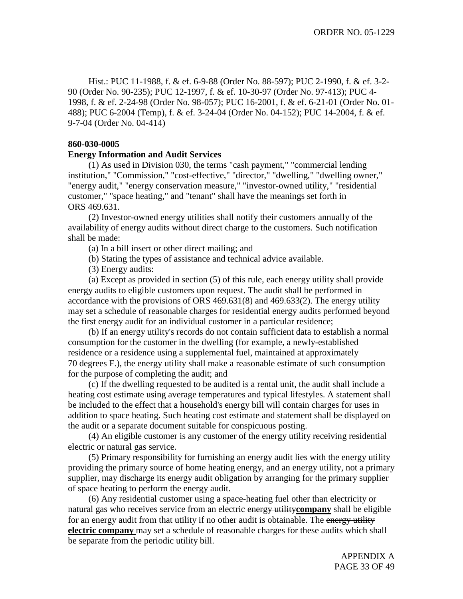Hist.: PUC 11-1988, f. & ef. 6-9-88 (Order No. 88-597); PUC 2-1990, f. & ef. 3-2- 90 (Order No. 90-235); PUC 12-1997, f. & ef. 10-30-97 (Order No. 97-413); PUC 4- 1998, f. & ef. 2-24-98 (Order No. 98-057); PUC 16-2001, f. & ef. 6-21-01 (Order No. 01- 488); PUC 6-2004 (Temp), f. & ef. 3-24-04 (Order No. 04-152); PUC 14-2004, f. & ef. 9-7-04 (Order No. 04-414)

#### **860-030-0005**

#### **Energy Information and Audit Services**

(1) As used in Division 030, the terms "cash payment," "commercial lending institution," "Commission," "cost-effective," "director," "dwelling," "dwelling owner," "energy audit," "energy conservation measure," "investor-owned utility," "residential customer," "space heating," and "tenant" shall have the meanings set forth in ORS 469.631.

(2) Investor-owned energy utilities shall notify their customers annually of the availability of energy audits without direct charge to the customers. Such notification shall be made:

(a) In a bill insert or other direct mailing; and

(b) Stating the types of assistance and technical advice available.

(3) Energy audits:

(a) Except as provided in section (5) of this rule, each energy utility shall provide energy audits to eligible customers upon request. The audit shall be performed in accordance with the provisions of ORS 469.631(8) and 469.633(2). The energy utility may set a schedule of reasonable charges for residential energy audits performed beyond the first energy audit for an individual customer in a particular residence;

(b) If an energy utility's records do not contain sufficient data to establish a normal consumption for the customer in the dwelling (for example, a newly-established residence or a residence using a supplemental fuel, maintained at approximately 70 degrees F.), the energy utility shall make a reasonable estimate of such consumption for the purpose of completing the audit; and

(c) If the dwelling requested to be audited is a rental unit, the audit shall include a heating cost estimate using average temperatures and typical lifestyles. A statement shall be included to the effect that a household's energy bill will contain charges for uses in addition to space heating. Such heating cost estimate and statement shall be displayed on the audit or a separate document suitable for conspicuous posting.

(4) An eligible customer is any customer of the energy utility receiving residential electric or natural gas service.

(5) Primary responsibility for furnishing an energy audit lies with the energy utility providing the primary source of home heating energy, and an energy utility, not a primary supplier, may discharge its energy audit obligation by arranging for the primary supplier of space heating to perform the energy audit.

(6) Any residential customer using a space-heating fuel other than electricity or natural gas who receives service from an electric energy utility**company** shall be eligible for an energy audit from that utility if no other audit is obtainable. The energy utility **electric company** may set a schedule of reasonable charges for these audits which shall be separate from the periodic utility bill.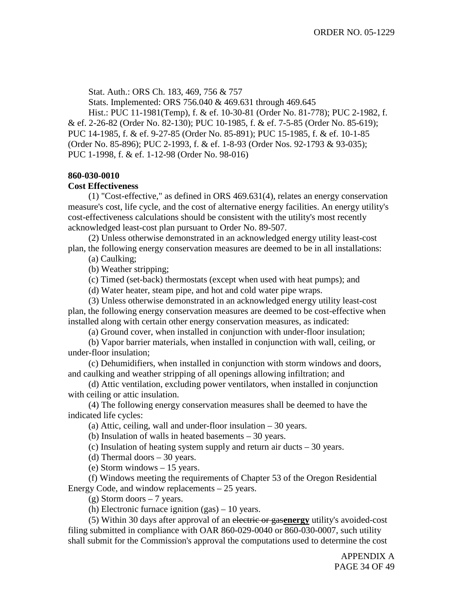Stat. Auth.: ORS Ch. 183, 469, 756 & 757

Stats. Implemented: ORS 756.040 & 469.631 through 469.645

Hist.: PUC 11-1981(Temp), f. & ef. 10-30-81 (Order No. 81-778); PUC 2-1982, f. & ef. 2-26-82 (Order No. 82-130); PUC 10-1985, f. & ef. 7-5-85 (Order No. 85-619); PUC 14-1985, f. & ef. 9-27-85 (Order No. 85-891); PUC 15-1985, f. & ef. 10-1-85 (Order No. 85-896); PUC 2-1993, f. & ef. 1-8-93 (Order Nos. 92-1793 & 93-035); PUC 1-1998, f. & ef. 1-12-98 (Order No. 98-016)

## **860-030-0010**

#### **Cost Effectiveness**

(1) "Cost-effective," as defined in ORS 469.631(4), relates an energy conservation measure's cost, life cycle, and the cost of alternative energy facilities. An energy utility's cost-effectiveness calculations should be consistent with the utility's most recently acknowledged least-cost plan pursuant to Order No. 89-507.

(2) Unless otherwise demonstrated in an acknowledged energy utility least-cost plan, the following energy conservation measures are deemed to be in all installations:

(a) Caulking;

(b) Weather stripping;

(c) Timed (set-back) thermostats (except when used with heat pumps); and

(d) Water heater, steam pipe, and hot and cold water pipe wraps.

(3) Unless otherwise demonstrated in an acknowledged energy utility least-cost plan, the following energy conservation measures are deemed to be cost-effective when installed along with certain other energy conservation measures, as indicated:

(a) Ground cover, when installed in conjunction with under-floor insulation;

(b) Vapor barrier materials, when installed in conjunction with wall, ceiling, or under-floor insulation;

(c) Dehumidifiers, when installed in conjunction with storm windows and doors, and caulking and weather stripping of all openings allowing infiltration; and

(d) Attic ventilation, excluding power ventilators, when installed in conjunction with ceiling or attic insulation.

(4) The following energy conservation measures shall be deemed to have the indicated life cycles:

(a) Attic, ceiling, wall and under-floor insulation – 30 years.

(b) Insulation of walls in heated basements – 30 years.

(c) Insulation of heating system supply and return air ducts – 30 years.

(d) Thermal doors – 30 years.

(e) Storm windows – 15 years.

(f) Windows meeting the requirements of Chapter 53 of the Oregon Residential Energy Code, and window replacements – 25 years.

 $(g)$  Storm doors  $-7$  years.

(h) Electronic furnace ignition (gas) – 10 years.

(5) Within 30 days after approval of an electric or gas**energy** utility's avoided-cost filing submitted in compliance with OAR 860-029-0040 or 860-030-0007, such utility shall submit for the Commission's approval the computations used to determine the cost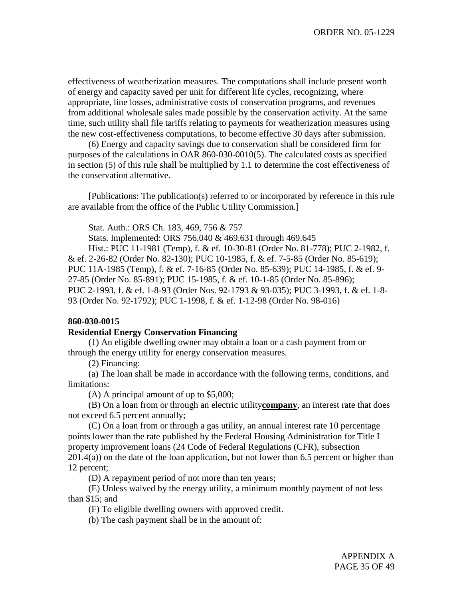effectiveness of weatherization measures. The computations shall include present worth of energy and capacity saved per unit for different life cycles, recognizing, where appropriate, line losses, administrative costs of conservation programs, and revenues from additional wholesale sales made possible by the conservation activity. At the same time, such utility shall file tariffs relating to payments for weatherization measures using the new cost-effectiveness computations, to become effective 30 days after submission.

(6) Energy and capacity savings due to conservation shall be considered firm for purposes of the calculations in OAR 860-030-0010(5). The calculated costs as specified in section (5) of this rule shall be multiplied by 1.1 to determine the cost effectiveness of the conservation alternative.

[Publications: The publication(s) referred to or incorporated by reference in this rule are available from the office of the Public Utility Commission.]

Stat. Auth.: ORS Ch. 183, 469, 756 & 757

Stats. Implemented: ORS 756.040 & 469.631 through 469.645

Hist.: PUC 11-1981 (Temp), f. & ef. 10-30-81 (Order No. 81-778); PUC 2-1982, f. & ef. 2-26-82 (Order No. 82-130); PUC 10-1985, f. & ef. 7-5-85 (Order No. 85-619); PUC 11A-1985 (Temp), f. & ef. 7-16-85 (Order No. 85-639); PUC 14-1985, f. & ef. 9- 27-85 (Order No. 85-891); PUC 15-1985, f. & ef. 10-1-85 (Order No. 85-896); PUC 2-1993, f. & ef. 1-8-93 (Order Nos. 92-1793 & 93-035); PUC 3-1993, f. & ef. 1-8- 93 (Order No. 92-1792); PUC 1-1998, f. & ef. 1-12-98 (Order No. 98-016)

#### **860-030-0015**

#### **Residential Energy Conservation Financing**

(1) An eligible dwelling owner may obtain a loan or a cash payment from or through the energy utility for energy conservation measures.

(2) Financing:

(a) The loan shall be made in accordance with the following terms, conditions, and limitations:

(A) A principal amount of up to \$5,000;

(B) On a loan from or through an electric utility**company**, an interest rate that does not exceed 6.5 percent annually;

(C) On a loan from or through a gas utility, an annual interest rate 10 percentage points lower than the rate published by the Federal Housing Administration for Title I property improvement loans (24 Code of Federal Regulations (CFR), subsection  $201.4(a)$ ) on the date of the loan application, but not lower than 6.5 percent or higher than 12 percent;

(D) A repayment period of not more than ten years;

(E) Unless waived by the energy utility, a minimum monthly payment of not less than \$15; and

(F) To eligible dwelling owners with approved credit.

(b) The cash payment shall be in the amount of: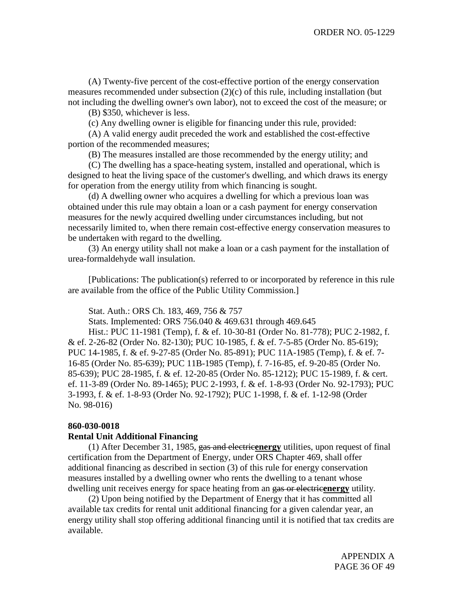(A) Twenty-five percent of the cost-effective portion of the energy conservation measures recommended under subsection (2)(c) of this rule, including installation (but not including the dwelling owner's own labor), not to exceed the cost of the measure; or

(B) \$350, whichever is less.

(c) Any dwelling owner is eligible for financing under this rule, provided:

(A) A valid energy audit preceded the work and established the cost-effective portion of the recommended measures;

(B) The measures installed are those recommended by the energy utility; and

(C) The dwelling has a space-heating system, installed and operational, which is designed to heat the living space of the customer's dwelling, and which draws its energy for operation from the energy utility from which financing is sought.

(d) A dwelling owner who acquires a dwelling for which a previous loan was obtained under this rule may obtain a loan or a cash payment for energy conservation measures for the newly acquired dwelling under circumstances including, but not necessarily limited to, when there remain cost-effective energy conservation measures to be undertaken with regard to the dwelling.

(3) An energy utility shall not make a loan or a cash payment for the installation of urea-formaldehyde wall insulation.

[Publications: The publication(s) referred to or incorporated by reference in this rule are available from the office of the Public Utility Commission.]

Stat. Auth.: ORS Ch. 183, 469, 756 & 757

Stats. Implemented: ORS 756.040 & 469.631 through 469.645

Hist.: PUC 11-1981 (Temp), f. & ef. 10-30-81 (Order No. 81-778); PUC 2-1982, f. & ef. 2-26-82 (Order No. 82-130); PUC 10-1985, f. & ef. 7-5-85 (Order No. 85-619); PUC 14-1985, f. & ef. 9-27-85 (Order No. 85-891); PUC 11A-1985 (Temp), f. & ef. 7- 16-85 (Order No. 85-639); PUC 11B-1985 (Temp), f. 7-16-85, ef. 9-20-85 (Order No. 85-639); PUC 28-1985, f. & ef. 12-20-85 (Order No. 85-1212); PUC 15-1989, f. & cert. ef. 11-3-89 (Order No. 89-1465); PUC 2-1993, f. & ef. 1-8-93 (Order No. 92-1793); PUC 3-1993, f. & ef. 1-8-93 (Order No. 92-1792); PUC 1-1998, f. & ef. 1-12-98 (Order No. 98-016)

#### **860-030-0018**

#### **Rental Unit Additional Financing**

(1) After December 31, 1985, gas and electric**energy** utilities, upon request of final certification from the Department of Energy, under ORS Chapter 469, shall offer additional financing as described in section (3) of this rule for energy conservation measures installed by a dwelling owner who rents the dwelling to a tenant whose dwelling unit receives energy for space heating from an gas or electricenergy utility.

(2) Upon being notified by the Department of Energy that it has committed all available tax credits for rental unit additional financing for a given calendar year, an energy utility shall stop offering additional financing until it is notified that tax credits are available.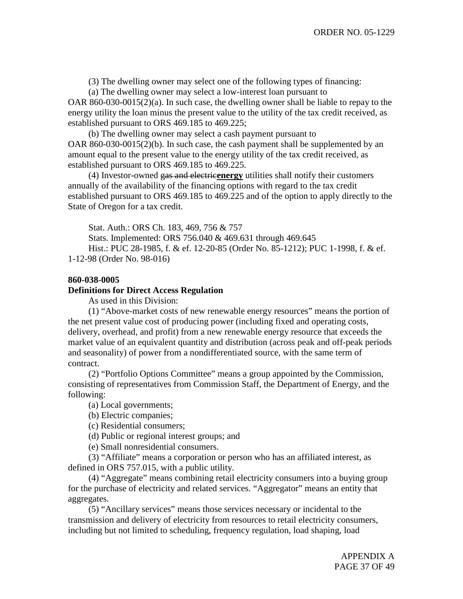(3) The dwelling owner may select one of the following types of financing:

(a) The dwelling owner may select a low-interest loan pursuant to

OAR 860-030-0015(2)(a). In such case, the dwelling owner shall be liable to repay to the energy utility the loan minus the present value to the utility of the tax credit received, as established pursuant to ORS 469.185 to 469.225;

(b) The dwelling owner may select a cash payment pursuant to OAR 860-030-0015(2)(b). In such case, the cash payment shall be supplemented by an amount equal to the present value to the energy utility of the tax credit received, as established pursuant to ORS 469.185 to 469.225.

(4) Investor-owned gas and electric**energy** utilities shall notify their customers annually of the availability of the financing options with regard to the tax credit established pursuant to ORS 469.185 to 469.225 and of the option to apply directly to the State of Oregon for a tax credit.

Stat. Auth.: ORS Ch. 183, 469, 756 & 757

Stats. Implemented: ORS 756.040 & 469.631 through 469.645 Hist.: PUC 28-1985, f. & ef. 12-20-85 (Order No. 85-1212); PUC 1-1998, f. & ef. 1-12-98 (Order No. 98-016)

## **860-038-0005**

#### **Definitions for Direct Access Regulation**

As used in this Division:

(1) "Above-market costs of new renewable energy resources" means the portion of the net present value cost of producing power (including fixed and operating costs, delivery, overhead, and profit) from a new renewable energy resource that exceeds the market value of an equivalent quantity and distribution (across peak and off-peak periods and seasonality) of power from a nondifferentiated source, with the same term of contract.

(2) "Portfolio Options Committee" means a group appointed by the Commission, consisting of representatives from Commission Staff, the Department of Energy, and the following:

(a) Local governments;

(b) Electric companies;

(c) Residential consumers;

(d) Public or regional interest groups; and

(e) Small nonresidential consumers.

(3) "Affiliate" means a corporation or person who has an affiliated interest, as defined in ORS 757.015, with a public utility.

(4) "Aggregate" means combining retail electricity consumers into a buying group for the purchase of electricity and related services. "Aggregator" means an entity that aggregates.

(5) "Ancillary services" means those services necessary or incidental to the transmission and delivery of electricity from resources to retail electricity consumers, including but not limited to scheduling, frequency regulation, load shaping, load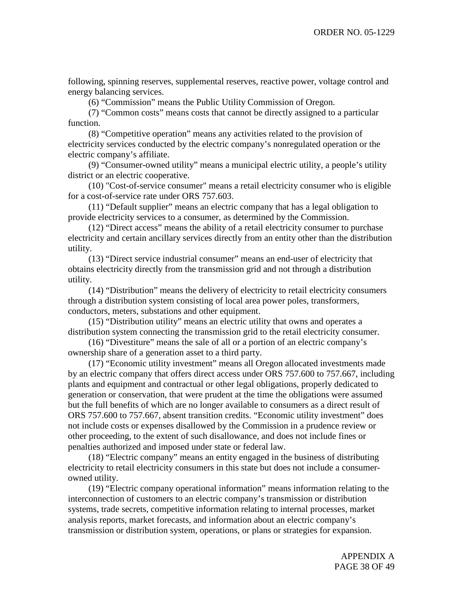following, spinning reserves, supplemental reserves, reactive power, voltage control and energy balancing services.

(6) "Commission" means the Public Utility Commission of Oregon.

(7) "Common costs" means costs that cannot be directly assigned to a particular function.

(8) "Competitive operation" means any activities related to the provision of electricity services conducted by the electric company's nonregulated operation or the electric company's affiliate.

(9) "Consumer-owned utility" means a municipal electric utility, a people's utility district or an electric cooperative.

(10) "Cost-of-service consumer" means a retail electricity consumer who is eligible for a cost-of-service rate under ORS 757.603.

(11) "Default supplier" means an electric company that has a legal obligation to provide electricity services to a consumer, as determined by the Commission.

(12) "Direct access" means the ability of a retail electricity consumer to purchase electricity and certain ancillary services directly from an entity other than the distribution utility.

(13) "Direct service industrial consumer" means an end-user of electricity that obtains electricity directly from the transmission grid and not through a distribution utility.

(14) "Distribution" means the delivery of electricity to retail electricity consumers through a distribution system consisting of local area power poles, transformers, conductors, meters, substations and other equipment.

(15) "Distribution utility" means an electric utility that owns and operates a distribution system connecting the transmission grid to the retail electricity consumer.

(16) "Divestiture" means the sale of all or a portion of an electric company's ownership share of a generation asset to a third party.

(17) "Economic utility investment" means all Oregon allocated investments made by an electric company that offers direct access under ORS 757.600 to 757.667, including plants and equipment and contractual or other legal obligations, properly dedicated to generation or conservation, that were prudent at the time the obligations were assumed but the full benefits of which are no longer available to consumers as a direct result of ORS 757.600 to 757.667, absent transition credits. "Economic utility investment" does not include costs or expenses disallowed by the Commission in a prudence review or other proceeding, to the extent of such disallowance, and does not include fines or penalties authorized and imposed under state or federal law.

(18) "Electric company" means an entity engaged in the business of distributing electricity to retail electricity consumers in this state but does not include a consumerowned utility.

(19) "Electric company operational information" means information relating to the interconnection of customers to an electric company's transmission or distribution systems, trade secrets, competitive information relating to internal processes, market analysis reports, market forecasts, and information about an electric company's transmission or distribution system, operations, or plans or strategies for expansion.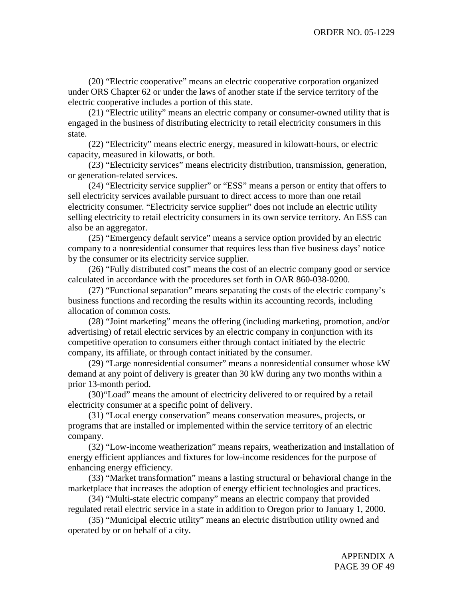(20) "Electric cooperative" means an electric cooperative corporation organized under ORS Chapter 62 or under the laws of another state if the service territory of the electric cooperative includes a portion of this state.

(21) "Electric utility" means an electric company or consumer-owned utility that is engaged in the business of distributing electricity to retail electricity consumers in this state.

(22) "Electricity" means electric energy, measured in kilowatt-hours, or electric capacity, measured in kilowatts, or both.

(23) "Electricity services" means electricity distribution, transmission, generation, or generation-related services.

(24) "Electricity service supplier" or "ESS" means a person or entity that offers to sell electricity services available pursuant to direct access to more than one retail electricity consumer. "Electricity service supplier" does not include an electric utility selling electricity to retail electricity consumers in its own service territory. An ESS can also be an aggregator.

(25) "Emergency default service" means a service option provided by an electric company to a nonresidential consumer that requires less than five business days' notice by the consumer or its electricity service supplier.

(26) "Fully distributed cost" means the cost of an electric company good or service calculated in accordance with the procedures set forth in OAR 860-038-0200.

(27) "Functional separation" means separating the costs of the electric company's business functions and recording the results within its accounting records, including allocation of common costs.

(28) "Joint marketing" means the offering (including marketing, promotion, and/or advertising) of retail electric services by an electric company in conjunction with its competitive operation to consumers either through contact initiated by the electric company, its affiliate, or through contact initiated by the consumer.

(29) "Large nonresidential consumer" means a nonresidential consumer whose kW demand at any point of delivery is greater than 30 kW during any two months within a prior 13-month period.

(30)"Load" means the amount of electricity delivered to or required by a retail electricity consumer at a specific point of delivery.

(31) "Local energy conservation" means conservation measures, projects, or programs that are installed or implemented within the service territory of an electric company.

(32) "Low-income weatherization" means repairs, weatherization and installation of energy efficient appliances and fixtures for low-income residences for the purpose of enhancing energy efficiency.

(33) "Market transformation" means a lasting structural or behavioral change in the marketplace that increases the adoption of energy efficient technologies and practices.

(34) "Multi-state electric company" means an electric company that provided regulated retail electric service in a state in addition to Oregon prior to January 1, 2000.

(35) "Municipal electric utility" means an electric distribution utility owned and operated by or on behalf of a city.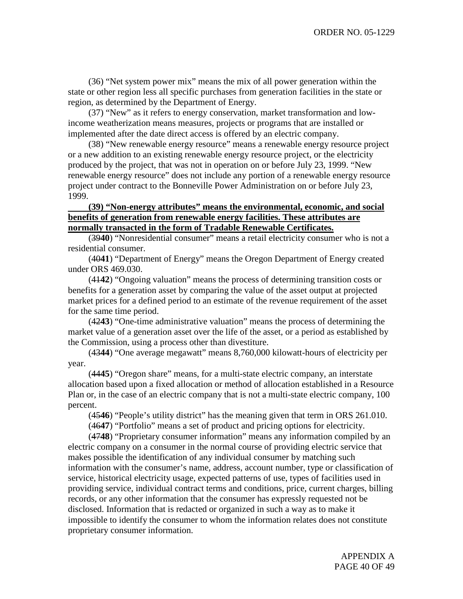(36) "Net system power mix" means the mix of all power generation within the state or other region less all specific purchases from generation facilities in the state or region, as determined by the Department of Energy.

(37) "New" as it refers to energy conservation, market transformation and lowincome weatherization means measures, projects or programs that are installed or implemented after the date direct access is offered by an electric company.

(38) "New renewable energy resource" means a renewable energy resource project or a new addition to an existing renewable energy resource project, or the electricity produced by the project, that was not in operation on or before July 23, 1999. "New renewable energy resource" does not include any portion of a renewable energy resource project under contract to the Bonneville Power Administration on or before July 23, 1999.

## **(39) "Non-energy attributes" means the environmental, economic, and social benefits of generation from renewable energy facilities. These attributes are normally transacted in the form of Tradable Renewable Certificates.**

(39**40**) "Nonresidential consumer" means a retail electricity consumer who is not a residential consumer.

(40**41**) "Department of Energy" means the Oregon Department of Energy created under ORS 469.030.

(41**42**) "Ongoing valuation" means the process of determining transition costs or benefits for a generation asset by comparing the value of the asset output at projected market prices for a defined period to an estimate of the revenue requirement of the asset for the same time period.

(42**43**) "One-time administrative valuation" means the process of determining the market value of a generation asset over the life of the asset, or a period as established by the Commission, using a process other than divestiture.

(43**44**) "One average megawatt" means 8,760,000 kilowatt-hours of electricity per year.

(44**45**) "Oregon share" means, for a multi-state electric company, an interstate allocation based upon a fixed allocation or method of allocation established in a Resource Plan or, in the case of an electric company that is not a multi-state electric company, 100 percent.

(45**46**) "People's utility district" has the meaning given that term in ORS 261.010.

(46**47**) "Portfolio" means a set of product and pricing options for electricity.

(47**48**) "Proprietary consumer information" means any information compiled by an electric company on a consumer in the normal course of providing electric service that makes possible the identification of any individual consumer by matching such information with the consumer's name, address, account number, type or classification of service, historical electricity usage, expected patterns of use, types of facilities used in providing service, individual contract terms and conditions, price, current charges, billing records, or any other information that the consumer has expressly requested not be disclosed. Information that is redacted or organized in such a way as to make it impossible to identify the consumer to whom the information relates does not constitute proprietary consumer information.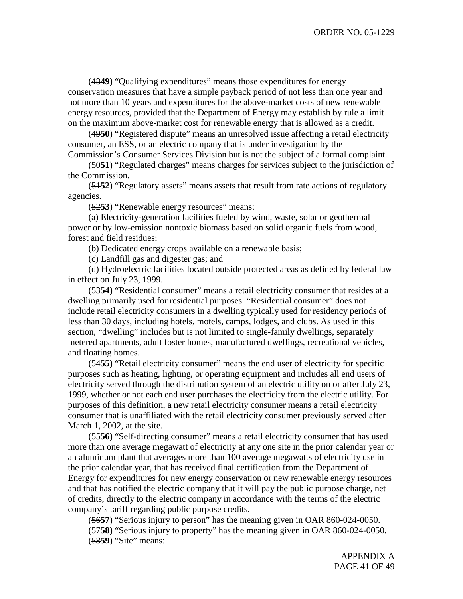(48**49**) "Qualifying expenditures" means those expenditures for energy conservation measures that have a simple payback period of not less than one year and not more than 10 years and expenditures for the above-market costs of new renewable energy resources, provided that the Department of Energy may establish by rule a limit on the maximum above-market cost for renewable energy that is allowed as a credit.

(49**50**) "Registered dispute" means an unresolved issue affecting a retail electricity consumer, an ESS, or an electric company that is under investigation by the Commission's Consumer Services Division but is not the subject of a formal complaint.

(50**51**) "Regulated charges" means charges for services subject to the jurisdiction of the Commission.

(51**52**) "Regulatory assets" means assets that result from rate actions of regulatory agencies.

(52**53**) "Renewable energy resources" means:

(a) Electricity-generation facilities fueled by wind, waste, solar or geothermal power or by low-emission nontoxic biomass based on solid organic fuels from wood, forest and field residues;

(b) Dedicated energy crops available on a renewable basis;

(c) Landfill gas and digester gas; and

(d) Hydroelectric facilities located outside protected areas as defined by federal law in effect on July 23, 1999.

(53**54**) "Residential consumer" means a retail electricity consumer that resides at a dwelling primarily used for residential purposes. "Residential consumer" does not include retail electricity consumers in a dwelling typically used for residency periods of less than 30 days, including hotels, motels, camps, lodges, and clubs. As used in this section, "dwelling" includes but is not limited to single-family dwellings, separately metered apartments, adult foster homes, manufactured dwellings, recreational vehicles, and floating homes.

(54**55**) "Retail electricity consumer" means the end user of electricity for specific purposes such as heating, lighting, or operating equipment and includes all end users of electricity served through the distribution system of an electric utility on or after July 23, 1999, whether or not each end user purchases the electricity from the electric utility. For purposes of this definition, a new retail electricity consumer means a retail electricity consumer that is unaffiliated with the retail electricity consumer previously served after March 1, 2002, at the site.

(55**56**) "Self-directing consumer" means a retail electricity consumer that has used more than one average megawatt of electricity at any one site in the prior calendar year or an aluminum plant that averages more than 100 average megawatts of electricity use in the prior calendar year, that has received final certification from the Department of Energy for expenditures for new energy conservation or new renewable energy resources and that has notified the electric company that it will pay the public purpose charge, net of credits, directly to the electric company in accordance with the terms of the electric company's tariff regarding public purpose credits.

(56**57**) "Serious injury to person" has the meaning given in OAR 860-024-0050. (57**58**) "Serious injury to property" has the meaning given in OAR 860-024-0050. (58**59**) "Site" means: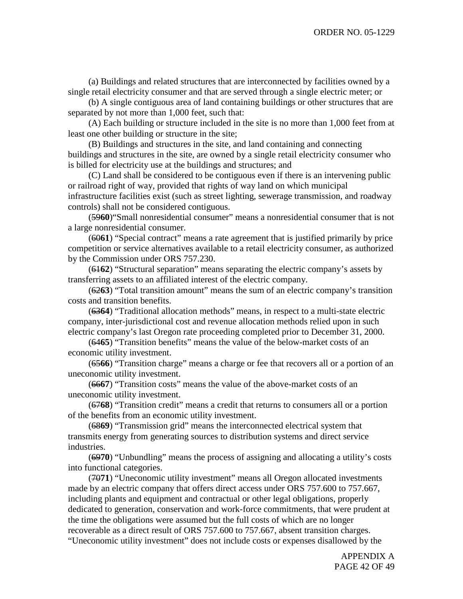(a) Buildings and related structures that are interconnected by facilities owned by a single retail electricity consumer and that are served through a single electric meter; or

(b) A single contiguous area of land containing buildings or other structures that are separated by not more than 1,000 feet, such that:

(A) Each building or structure included in the site is no more than 1,000 feet from at least one other building or structure in the site;

(B) Buildings and structures in the site, and land containing and connecting buildings and structures in the site, are owned by a single retail electricity consumer who is billed for electricity use at the buildings and structures; and

(C) Land shall be considered to be contiguous even if there is an intervening public or railroad right of way, provided that rights of way land on which municipal infrastructure facilities exist (such as street lighting, sewerage transmission, and roadway controls) shall not be considered contiguous.

(59**60**)"Small nonresidential consumer" means a nonresidential consumer that is not a large nonresidential consumer.

(60**61**) "Special contract" means a rate agreement that is justified primarily by price competition or service alternatives available to a retail electricity consumer, as authorized by the Commission under ORS 757.230.

(61**62**) "Structural separation" means separating the electric company's assets by transferring assets to an affiliated interest of the electric company.

(62**63**) "Total transition amount" means the sum of an electric company's transition costs and transition benefits.

(63**64**) "Traditional allocation methods" means, in respect to a multi-state electric company, inter-jurisdictional cost and revenue allocation methods relied upon in such electric company's last Oregon rate proceeding completed prior to December 31, 2000.

(64**65**) "Transition benefits" means the value of the below-market costs of an economic utility investment.

(65**66**) "Transition charge" means a charge or fee that recovers all or a portion of an uneconomic utility investment.

(66**67**) "Transition costs" means the value of the above-market costs of an uneconomic utility investment.

(67**68**) "Transition credit" means a credit that returns to consumers all or a portion of the benefits from an economic utility investment.

(68**69**) "Transmission grid" means the interconnected electrical system that transmits energy from generating sources to distribution systems and direct service industries.

(69**70**) "Unbundling" means the process of assigning and allocating a utility's costs into functional categories.

(70**71**) "Uneconomic utility investment" means all Oregon allocated investments made by an electric company that offers direct access under ORS 757.600 to 757.667, including plants and equipment and contractual or other legal obligations, properly dedicated to generation, conservation and work-force commitments, that were prudent at the time the obligations were assumed but the full costs of which are no longer recoverable as a direct result of ORS 757.600 to 757.667, absent transition charges. "Uneconomic utility investment" does not include costs or expenses disallowed by the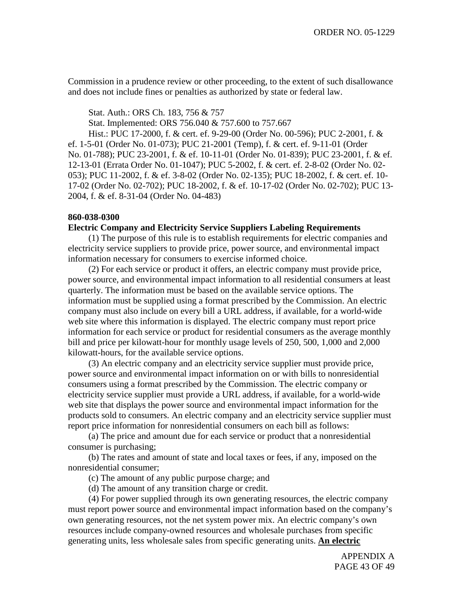Commission in a prudence review or other proceeding, to the extent of such disallowance and does not include fines or penalties as authorized by state or federal law.

Stat. Auth.: ORS Ch. 183, 756 & 757

Stat. Implemented: ORS 756.040 & 757.600 to 757.667

Hist.: PUC 17-2000, f. & cert. ef. 9-29-00 (Order No. 00-596); PUC 2-2001, f. & ef. 1-5-01 (Order No. 01-073); PUC 21-2001 (Temp), f. & cert. ef. 9-11-01 (Order No. 01-788); PUC 23-2001, f. & ef. 10-11-01 (Order No. 01-839); PUC 23-2001, f. & ef. 12-13-01 (Errata Order No. 01-1047); PUC 5-2002, f. & cert. ef. 2-8-02 (Order No. 02- 053); PUC 11-2002, f. & ef. 3-8-02 (Order No. 02-135); PUC 18-2002, f. & cert. ef. 10- 17-02 (Order No. 02-702); PUC 18-2002, f. & ef. 10-17-02 (Order No. 02-702); PUC 13- 2004, f. & ef. 8-31-04 (Order No. 04-483)

## **860-038-0300**

### **Electric Company and Electricity Service Suppliers Labeling Requirements**

(1) The purpose of this rule is to establish requirements for electric companies and electricity service suppliers to provide price, power source, and environmental impact information necessary for consumers to exercise informed choice.

(2) For each service or product it offers, an electric company must provide price, power source, and environmental impact information to all residential consumers at least quarterly. The information must be based on the available service options. The information must be supplied using a format prescribed by the Commission. An electric company must also include on every bill a URL address, if available, for a world-wide web site where this information is displayed. The electric company must report price information for each service or product for residential consumers as the average monthly bill and price per kilowatt-hour for monthly usage levels of 250, 500, 1,000 and 2,000 kilowatt-hours, for the available service options.

(3) An electric company and an electricity service supplier must provide price, power source and environmental impact information on or with bills to nonresidential consumers using a format prescribed by the Commission. The electric company or electricity service supplier must provide a URL address, if available, for a world-wide web site that displays the power source and environmental impact information for the products sold to consumers. An electric company and an electricity service supplier must report price information for nonresidential consumers on each bill as follows:

(a) The price and amount due for each service or product that a nonresidential consumer is purchasing;

(b) The rates and amount of state and local taxes or fees, if any, imposed on the nonresidential consumer;

(c) The amount of any public purpose charge; and

(d) The amount of any transition charge or credit.

(4) For power supplied through its own generating resources, the electric company must report power source and environmental impact information based on the company's own generating resources, not the net system power mix. An electric company's own resources include company-owned resources and wholesale purchases from specific generating units, less wholesale sales from specific generating units. **An electric**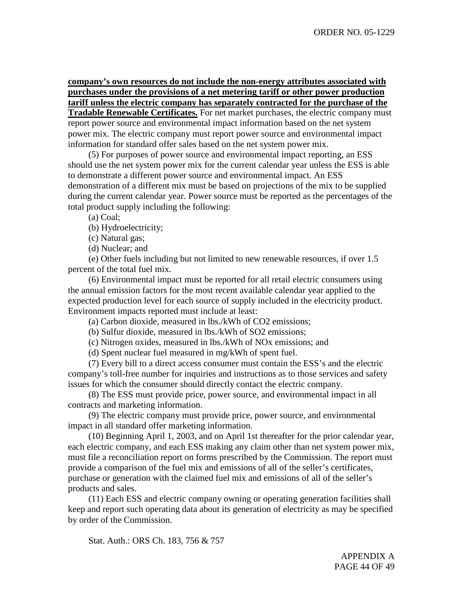**company's own resources do not include the non-energy attributes associated with purchases under the provisions of a net metering tariff or other power production tariff unless the electric company has separately contracted for the purchase of the**

**Tradable Renewable Certificates.** For net market purchases, the electric company must report power source and environmental impact information based on the net system power mix. The electric company must report power source and environmental impact information for standard offer sales based on the net system power mix.

(5) For purposes of power source and environmental impact reporting, an ESS should use the net system power mix for the current calendar year unless the ESS is able to demonstrate a different power source and environmental impact. An ESS demonstration of a different mix must be based on projections of the mix to be supplied during the current calendar year. Power source must be reported as the percentages of the total product supply including the following:

(a) Coal;

(b) Hydroelectricity;

(c) Natural gas;

(d) Nuclear; and

(e) Other fuels including but not limited to new renewable resources, if over 1.5 percent of the total fuel mix.

(6) Environmental impact must be reported for all retail electric consumers using the annual emission factors for the most recent available calendar year applied to the expected production level for each source of supply included in the electricity product. Environment impacts reported must include at least:

(a) Carbon dioxide, measured in lbs./kWh of CO2 emissions;

(b) Sulfur dioxide, measured in lbs./kWh of SO2 emissions;

(c) Nitrogen oxides, measured in lbs./kWh of NOx emissions; and

(d) Spent nuclear fuel measured in mg/kWh of spent fuel.

(7) Every bill to a direct access consumer must contain the ESS's and the electric company's toll-free number for inquiries and instructions as to those services and safety issues for which the consumer should directly contact the electric company.

(8) The ESS must provide price, power source, and environmental impact in all contracts and marketing information.

(9) The electric company must provide price, power source, and environmental impact in all standard offer marketing information.

(10) Beginning April 1, 2003, and on April 1st thereafter for the prior calendar year, each electric company, and each ESS making any claim other than net system power mix, must file a reconciliation report on forms prescribed by the Commission. The report must provide a comparison of the fuel mix and emissions of all of the seller's certificates, purchase or generation with the claimed fuel mix and emissions of all of the seller's products and sales.

(11) Each ESS and electric company owning or operating generation facilities shall keep and report such operating data about its generation of electricity as may be specified by order of the Commission.

Stat. Auth.: ORS Ch. 183, 756 & 757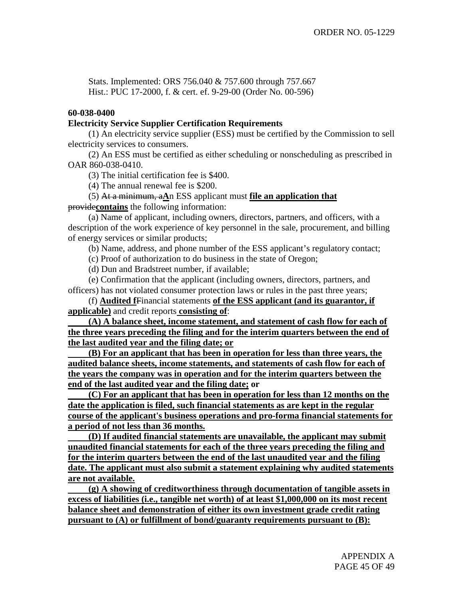Stats. Implemented: ORS 756.040 & 757.600 through 757.667 Hist.: PUC 17-2000, f. & cert. ef. 9-29-00 (Order No. 00-596)

## **60-038-0400**

## **Electricity Service Supplier Certification Requirements**

(1) An electricity service supplier (ESS) must be certified by the Commission to sell electricity services to consumers.

(2) An ESS must be certified as either scheduling or nonscheduling as prescribed in OAR 860-038-0410.

(3) The initial certification fee is \$400.

(4) The annual renewal fee is \$200.

(5) At a minimum, a**A**n ESS applicant must **file an application that** provide**contains** the following information:

(a) Name of applicant, including owners, directors, partners, and officers, with a description of the work experience of key personnel in the sale, procurement, and billing of energy services or similar products;

(b) Name, address, and phone number of the ESS applicant's regulatory contact;

(c) Proof of authorization to do business in the state of Oregon;

(d) Dun and Bradstreet number, if available;

(e) Confirmation that the applicant (including owners, directors, partners, and officers) has not violated consumer protection laws or rules in the past three years;

(f) **Audited f**Financial statements **of the ESS applicant (and its guarantor, if applicable)** and credit reports **consisting of**:

**(A) A balance sheet, income statement, and statement of cash flow for each of the three years preceding the filing and for the interim quarters between the end of the last audited year and the filing date; or**

**(B) For an applicant that has been in operation for less than three years, the audited balance sheets, income statements, and statements of cash flow for each of the years the company was in operation and for the interim quarters between the end of the last audited year and the filing date; or**

**(C) For an applicant that has been in operation for less than 12 months on the date the application is filed, such financial statements as are kept in the regular course of the applicant's business operations and pro-forma financial statements for a period of not less than 36 months.**

**(D) If audited financial statements are unavailable, the applicant may submit unaudited financial statements for each of the three years preceding the filing and for the interim quarters between the end of the last unaudited year and the filing date. The applicant must also submit a statement explaining why audited statements are not available.**

**(g) A showing of creditworthiness through documentation of tangible assets in excess of liabilities (i.e., tangible net worth) of at least \$1,000,000 on its most recent balance sheet and demonstration of either its own investment grade credit rating pursuant to (A) or fulfillment of bond/guaranty requirements pursuant to (B):**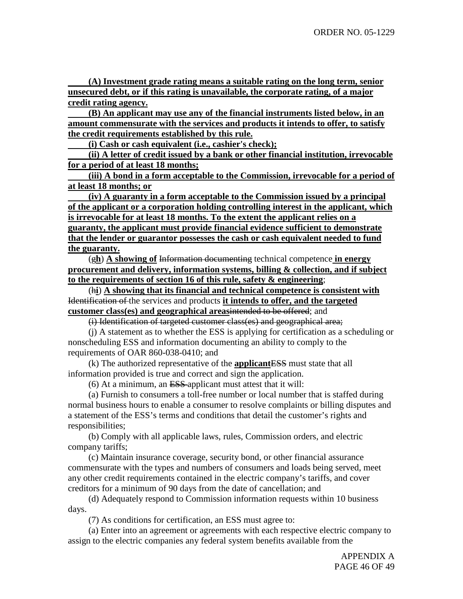**(A) Investment grade rating means a suitable rating on the long term, senior unsecured debt, or if this rating is unavailable, the corporate rating, of a major credit rating agency.**

**(B) An applicant may use any of the financial instruments listed below, in an amount commensurate with the services and products it intends to offer, to satisfy the credit requirements established by this rule.**

**(i) Cash or cash equivalent (i.e., cashier's check);**

**(ii) A letter of credit issued by a bank or other financial institution, irrevocable for a period of at least 18 months;**

**(iii) A bond in a form acceptable to the Commission, irrevocable for a period of at least 18 months; or**

**(iv) A guaranty in a form acceptable to the Commission issued by a principal of the applicant or a corporation holding controlling interest in the applicant, which is irrevocable for at least 18 months. To the extent the applicant relies on a guaranty, the applicant must provide financial evidence sufficient to demonstrate that the lender or guarantor possesses the cash or cash equivalent needed to fund the guaranty.**

(g**h**) **A showing of** Information documenting technical competence **in energy procurement and delivery, information systems, billing & collection, and if subject to the requirements of section 16 of this rule, safety & engineering**;

(h**i**) **A showing that its financial and technical competence is consistent with** Identification of the services and products **it intends to offer, and the targeted customer class(es) and geographical areas**intended to be offered; and

(i) Identification of targeted customer class(es) and geographical area;

(j) A statement as to whether the ESS is applying for certification as a scheduling or nonscheduling ESS and information documenting an ability to comply to the requirements of OAR 860-038-0410; and

(k) The authorized representative of the **applicant**ESS must state that all information provided is true and correct and sign the application.

(6) At a minimum, an ESS applicant must attest that it will:

(a) Furnish to consumers a toll-free number or local number that is staffed during normal business hours to enable a consumer to resolve complaints or billing disputes and a statement of the ESS's terms and conditions that detail the customer's rights and responsibilities;

(b) Comply with all applicable laws, rules, Commission orders, and electric company tariffs;

(c) Maintain insurance coverage, security bond, or other financial assurance commensurate with the types and numbers of consumers and loads being served, meet any other credit requirements contained in the electric company's tariffs, and cover creditors for a minimum of 90 days from the date of cancellation; and

(d) Adequately respond to Commission information requests within 10 business days.

(7) As conditions for certification, an ESS must agree to:

(a) Enter into an agreement or agreements with each respective electric company to assign to the electric companies any federal system benefits available from the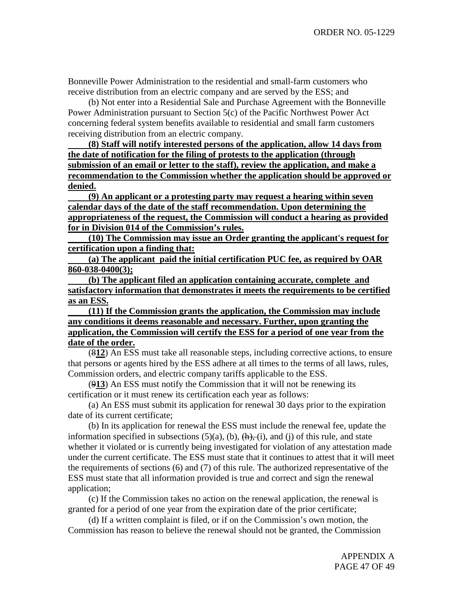Bonneville Power Administration to the residential and small-farm customers who receive distribution from an electric company and are served by the ESS; and

(b) Not enter into a Residential Sale and Purchase Agreement with the Bonneville Power Administration pursuant to Section 5(c) of the Pacific Northwest Power Act concerning federal system benefits available to residential and small farm customers receiving distribution from an electric company.

**(8) Staff will notify interested persons of the application, allow 14 days from the date of notification for the filing of protests to the application (through submission of an email or letter to the staff), review the application, and make a recommendation to the Commission whether the application should be approved or denied.**

**(9) An applicant or a protesting party may request a hearing within seven calendar days of the date of the staff recommendation. Upon determining the appropriateness of the request, the Commission will conduct a hearing as provided for in Division 014 of the Commission's rules.**

**(10) The Commission may issue an Order granting the applicant's request for certification upon a finding that:**

**(a) The applicant paid the initial certification PUC fee, as required by OAR 860-038-0400(3);**

**(b) The applicant filed an application containing accurate, complete and satisfactory information that demonstrates it meets the requirements to be certified as an ESS.**

**(11) If the Commission grants the application, the Commission may include any conditions it deems reasonable and necessary. Further, upon granting the application, the Commission will certify the ESS for a period of one year from the date of the order.**

(8**12**) An ESS must take all reasonable steps, including corrective actions, to ensure that persons or agents hired by the ESS adhere at all times to the terms of all laws, rules, Commission orders, and electric company tariffs applicable to the ESS.

(9**13**) An ESS must notify the Commission that it will not be renewing its certification or it must renew its certification each year as follows:

(a) An ESS must submit its application for renewal 30 days prior to the expiration date of its current certificate;

(b) In its application for renewal the ESS must include the renewal fee, update the information specified in subsections  $(5)(a)$ ,  $(b)$ ,  $(\overline{h})$ ,  $(i)$ , and  $(i)$  of this rule, and state whether it violated or is currently being investigated for violation of any attestation made under the current certificate. The ESS must state that it continues to attest that it will meet the requirements of sections (6) and (7) of this rule. The authorized representative of the ESS must state that all information provided is true and correct and sign the renewal application;

(c) If the Commission takes no action on the renewal application, the renewal is granted for a period of one year from the expiration date of the prior certificate;

(d) If a written complaint is filed, or if on the Commission's own motion, the Commission has reason to believe the renewal should not be granted, the Commission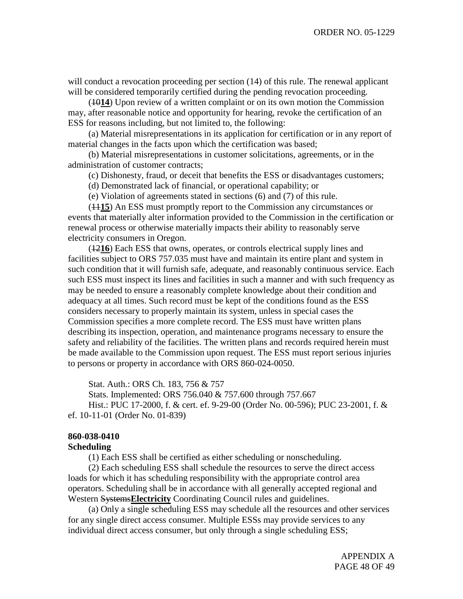will conduct a revocation proceeding per section (14) of this rule. The renewal applicant will be considered temporarily certified during the pending revocation proceeding.

(10**14**) Upon review of a written complaint or on its own motion the Commission may, after reasonable notice and opportunity for hearing, revoke the certification of an ESS for reasons including, but not limited to, the following:

(a) Material misrepresentations in its application for certification or in any report of material changes in the facts upon which the certification was based;

(b) Material misrepresentations in customer solicitations, agreements, or in the administration of customer contracts;

(c) Dishonesty, fraud, or deceit that benefits the ESS or disadvantages customers;

(d) Demonstrated lack of financial, or operational capability; or

(e) Violation of agreements stated in sections (6) and (7) of this rule.

(11**15**) An ESS must promptly report to the Commission any circumstances or events that materially alter information provided to the Commission in the certification or renewal process or otherwise materially impacts their ability to reasonably serve electricity consumers in Oregon.

(12**16**) Each ESS that owns, operates, or controls electrical supply lines and facilities subject to ORS 757.035 must have and maintain its entire plant and system in such condition that it will furnish safe, adequate, and reasonably continuous service. Each such ESS must inspect its lines and facilities in such a manner and with such frequency as may be needed to ensure a reasonably complete knowledge about their condition and adequacy at all times. Such record must be kept of the conditions found as the ESS considers necessary to properly maintain its system, unless in special cases the Commission specifies a more complete record. The ESS must have written plans describing its inspection, operation, and maintenance programs necessary to ensure the safety and reliability of the facilities. The written plans and records required herein must be made available to the Commission upon request. The ESS must report serious injuries to persons or property in accordance with ORS 860-024-0050.

Stat. Auth.: ORS Ch. 183, 756 & 757

Stats. Implemented: ORS 756.040 & 757.600 through 757.667 Hist.: PUC 17-2000, f. & cert. ef. 9-29-00 (Order No. 00-596); PUC 23-2001, f. & ef. 10-11-01 (Order No. 01-839)

# **860-038-0410**

### **Scheduling**

(1) Each ESS shall be certified as either scheduling or nonscheduling.

(2) Each scheduling ESS shall schedule the resources to serve the direct access loads for which it has scheduling responsibility with the appropriate control area operators. Scheduling shall be in accordance with all generally accepted regional and Western Systems**Electricity** Coordinating Council rules and guidelines.

(a) Only a single scheduling ESS may schedule all the resources and other services for any single direct access consumer. Multiple ESSs may provide services to any individual direct access consumer, but only through a single scheduling ESS;